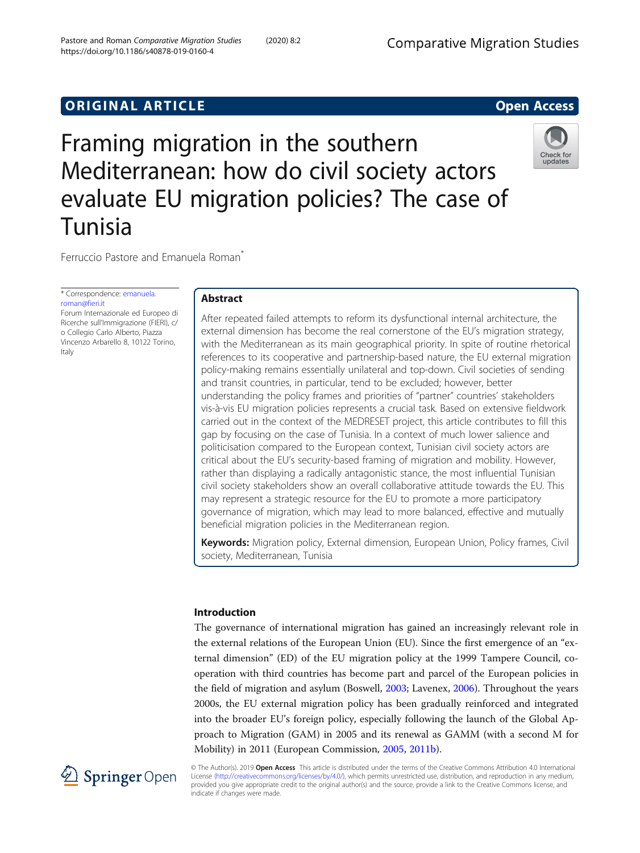# **ORIGINAL ARTICLE CONSERVANCE IN A LOCAL CONSERVANCE IN A LOCAL CONSERVANCE IN A LOCAL CONSERVANCE IN A LOCAL CONSERVANCE IN A LOCAL CONSERVANCE IN A LOCAL CONSERVANCE IN A LOCAL CONSERVANCE IN A LOCAL CONSERVANCE IN A L**

# Framing migration in the southern Mediterranean: how do civil society actors evaluate EU migration policies? The case of Tunisia



Ferruccio Pastore and Emanuela Roman<sup>®</sup>

\* Correspondence: [emanuela.](mailto:emanuela.roman@fieri.it) [roman@fieri.it](mailto:emanuela.roman@fieri.it) Forum Internazionale ed Europeo di

Ricerche sull'Immigrazione (FIERI), c/ o Collegio Carlo Alberto, Piazza Vincenzo Arbarello 8, 10122 Torino, Italy

# Abstract

After repeated failed attempts to reform its dysfunctional internal architecture, the external dimension has become the real cornerstone of the EU's migration strategy, with the Mediterranean as its main geographical priority. In spite of routine rhetorical references to its cooperative and partnership-based nature, the EU external migration policy-making remains essentially unilateral and top-down. Civil societies of sending and transit countries, in particular, tend to be excluded; however, better understanding the policy frames and priorities of "partner" countries' stakeholders vis-à-vis EU migration policies represents a crucial task. Based on extensive fieldwork carried out in the context of the MEDRESET project, this article contributes to fill this gap by focusing on the case of Tunisia. In a context of much lower salience and politicisation compared to the European context, Tunisian civil society actors are critical about the EU's security-based framing of migration and mobility. However, rather than displaying a radically antagonistic stance, the most influential Tunisian civil society stakeholders show an overall collaborative attitude towards the EU. This may represent a strategic resource for the EU to promote a more participatory governance of migration, which may lead to more balanced, effective and mutually beneficial migration policies in the Mediterranean region.

Keywords: Migration policy, External dimension, European Union, Policy frames, Civil society, Mediterranean, Tunisia

# Introduction

The governance of international migration has gained an increasingly relevant role in the external relations of the European Union (EU). Since the first emergence of an "external dimension" (ED) of the EU migration policy at the 1999 Tampere Council, cooperation with third countries has become part and parcel of the European policies in the field of migration and asylum (Boswell, [2003;](#page-19-0) Lavenex, [2006\)](#page-20-0). Throughout the years 2000s, the EU external migration policy has been gradually reinforced and integrated into the broader EU's foreign policy, especially following the launch of the Global Approach to Migration (GAM) in 2005 and its renewal as GAMM (with a second M for Mobility) in 2011 (European Commission, [2005](#page-19-0), [2011b\)](#page-19-0).



© The Author(s). 2019 Open Access This article is distributed under the terms of the Creative Commons Attribution 4.0 International License [\(http://creativecommons.org/licenses/by/4.0/](http://creativecommons.org/licenses/by/4.0/)), which permits unrestricted use, distribution, and reproduction in any medium, provided you give appropriate credit to the original author(s) and the source, provide a link to the Creative Commons license, and indicate if changes were made.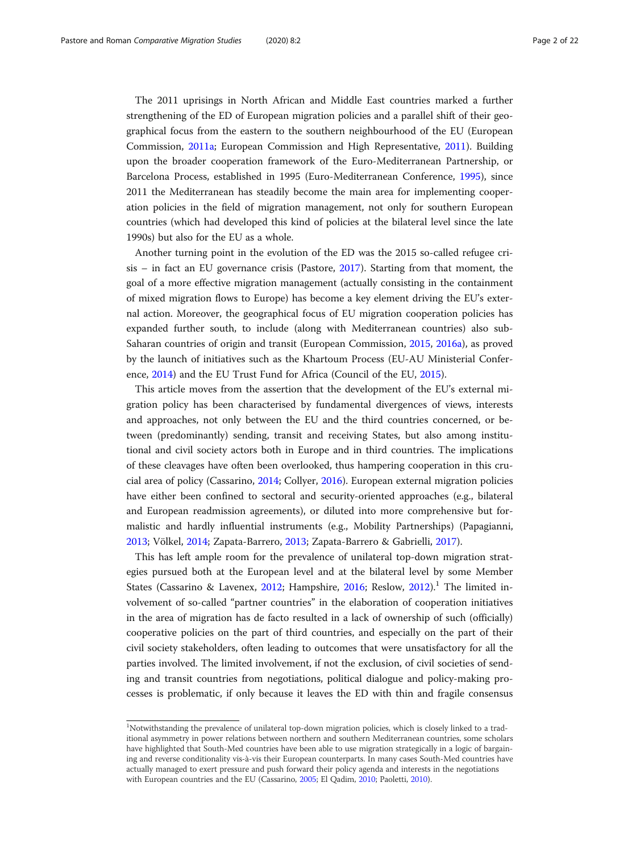The 2011 uprisings in North African and Middle East countries marked a further strengthening of the ED of European migration policies and a parallel shift of their geographical focus from the eastern to the southern neighbourhood of the EU (European Commission, [2011a](#page-19-0); European Commission and High Representative, [2011\)](#page-19-0). Building upon the broader cooperation framework of the Euro-Mediterranean Partnership, or Barcelona Process, established in 1995 (Euro-Mediterranean Conference, [1995\)](#page-19-0), since 2011 the Mediterranean has steadily become the main area for implementing cooperation policies in the field of migration management, not only for southern European countries (which had developed this kind of policies at the bilateral level since the late 1990s) but also for the EU as a whole.

Another turning point in the evolution of the ED was the 2015 so-called refugee cri $sis - in$  fact an EU governance crisis (Pastore, [2017\)](#page-20-0). Starting from that moment, the goal of a more effective migration management (actually consisting in the containment of mixed migration flows to Europe) has become a key element driving the EU's external action. Moreover, the geographical focus of EU migration cooperation policies has expanded further south, to include (along with Mediterranean countries) also sub-Saharan countries of origin and transit (European Commission, [2015,](#page-19-0) [2016a\)](#page-19-0), as proved by the launch of initiatives such as the Khartoum Process (EU-AU Ministerial Conference, [2014\)](#page-19-0) and the EU Trust Fund for Africa (Council of the EU, [2015\)](#page-19-0).

This article moves from the assertion that the development of the EU's external migration policy has been characterised by fundamental divergences of views, interests and approaches, not only between the EU and the third countries concerned, or between (predominantly) sending, transit and receiving States, but also among institutional and civil society actors both in Europe and in third countries. The implications of these cleavages have often been overlooked, thus hampering cooperation in this crucial area of policy (Cassarino, [2014;](#page-19-0) Collyer, [2016\)](#page-19-0). European external migration policies have either been confined to sectoral and security-oriented approaches (e.g., bilateral and European readmission agreements), or diluted into more comprehensive but formalistic and hardly influential instruments (e.g., Mobility Partnerships) (Papagianni, [2013](#page-20-0); Völkel, [2014](#page-20-0); Zapata-Barrero, [2013](#page-21-0); Zapata-Barrero & Gabrielli, [2017](#page-21-0)).

This has left ample room for the prevalence of unilateral top-down migration strategies pursued both at the European level and at the bilateral level by some Member States (Cassarino & Lavenex, [2012;](#page-19-0) Hampshire, [2016;](#page-20-0) Reslow, [2012](#page-20-0)).<sup>1</sup> The limited involvement of so-called "partner countries" in the elaboration of cooperation initiatives in the area of migration has de facto resulted in a lack of ownership of such (officially) cooperative policies on the part of third countries, and especially on the part of their civil society stakeholders, often leading to outcomes that were unsatisfactory for all the parties involved. The limited involvement, if not the exclusion, of civil societies of sending and transit countries from negotiations, political dialogue and policy-making processes is problematic, if only because it leaves the ED with thin and fragile consensus

<sup>&</sup>lt;sup>1</sup>Notwithstanding the prevalence of unilateral top-down migration policies, which is closely linked to a traditional asymmetry in power relations between northern and southern Mediterranean countries, some scholars have highlighted that South-Med countries have been able to use migration strategically in a logic of bargaining and reverse conditionality vis-à-vis their European counterparts. In many cases South-Med countries have actually managed to exert pressure and push forward their policy agenda and interests in the negotiations with European countries and the EU (Cassarino, [2005;](#page-19-0) El Qadim, [2010;](#page-19-0) Paoletti, [2010\)](#page-20-0).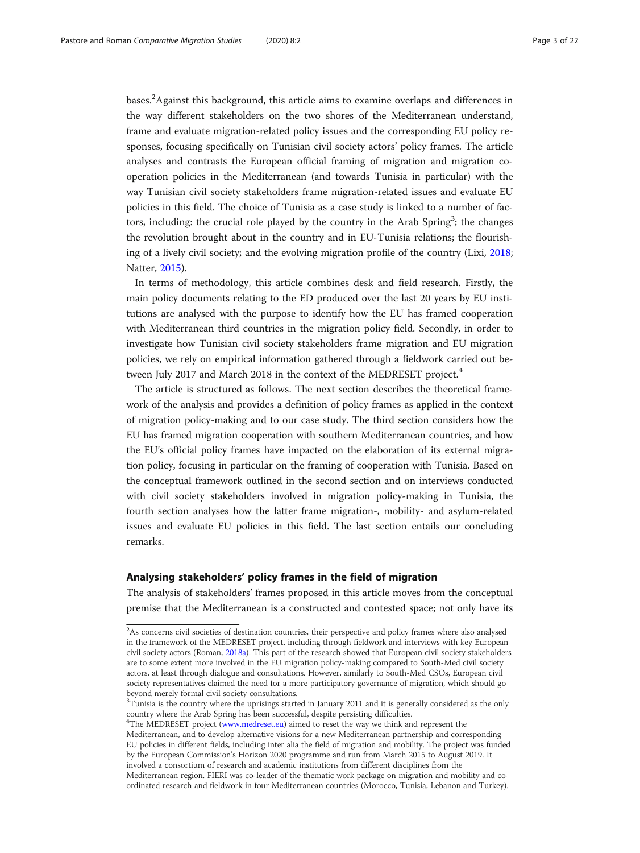bases.<sup>2</sup> Against this background, this article aims to examine overlaps and differences in the way different stakeholders on the two shores of the Mediterranean understand, frame and evaluate migration-related policy issues and the corresponding EU policy responses, focusing specifically on Tunisian civil society actors' policy frames. The article analyses and contrasts the European official framing of migration and migration cooperation policies in the Mediterranean (and towards Tunisia in particular) with the way Tunisian civil society stakeholders frame migration-related issues and evaluate EU policies in this field. The choice of Tunisia as a case study is linked to a number of factors, including: the crucial role played by the country in the Arab Spring<sup>3</sup>; the changes the revolution brought about in the country and in EU-Tunisia relations; the flourishing of a lively civil society; and the evolving migration profile of the country (Lixi, [2018](#page-20-0); Natter, [2015\)](#page-20-0).

In terms of methodology, this article combines desk and field research. Firstly, the main policy documents relating to the ED produced over the last 20 years by EU institutions are analysed with the purpose to identify how the EU has framed cooperation with Mediterranean third countries in the migration policy field. Secondly, in order to investigate how Tunisian civil society stakeholders frame migration and EU migration policies, we rely on empirical information gathered through a fieldwork carried out between July 2017 and March 2018 in the context of the MEDRESET project.<sup>4</sup>

The article is structured as follows. The next section describes the theoretical framework of the analysis and provides a definition of policy frames as applied in the context of migration policy-making and to our case study. The third section considers how the EU has framed migration cooperation with southern Mediterranean countries, and how the EU's official policy frames have impacted on the elaboration of its external migration policy, focusing in particular on the framing of cooperation with Tunisia. Based on the conceptual framework outlined in the second section and on interviews conducted with civil society stakeholders involved in migration policy-making in Tunisia, the fourth section analyses how the latter frame migration-, mobility- and asylum-related issues and evaluate EU policies in this field. The last section entails our concluding remarks.

#### Analysing stakeholders' policy frames in the field of migration

The analysis of stakeholders' frames proposed in this article moves from the conceptual premise that the Mediterranean is a constructed and contested space; not only have its

<sup>4</sup>The MEDRESET project ([www.medreset.eu](http://www.medreset.eu/)) aimed to reset the way we think and represent the

 $2$ As concerns civil societies of destination countries, their perspective and policy frames where also analysed in the framework of the MEDRESET project, including through fieldwork and interviews with key European civil society actors (Roman, [2018a](#page-20-0)). This part of the research showed that European civil society stakeholders are to some extent more involved in the EU migration policy-making compared to South-Med civil society actors, at least through dialogue and consultations. However, similarly to South-Med CSOs, European civil society representatives claimed the need for a more participatory governance of migration, which should go beyond merely formal civil society consultations.

 ${}^{3}$ Tunisia is the country where the uprisings started in January 2011 and it is generally considered as the only country where the Arab Spring has been successful, despite persisting difficulties.

Mediterranean, and to develop alternative visions for a new Mediterranean partnership and corresponding EU policies in different fields, including inter alia the field of migration and mobility. The project was funded by the European Commission's Horizon 2020 programme and run from March 2015 to August 2019. It involved a consortium of research and academic institutions from different disciplines from the Mediterranean region. FIERI was co-leader of the thematic work package on migration and mobility and co-

ordinated research and fieldwork in four Mediterranean countries (Morocco, Tunisia, Lebanon and Turkey).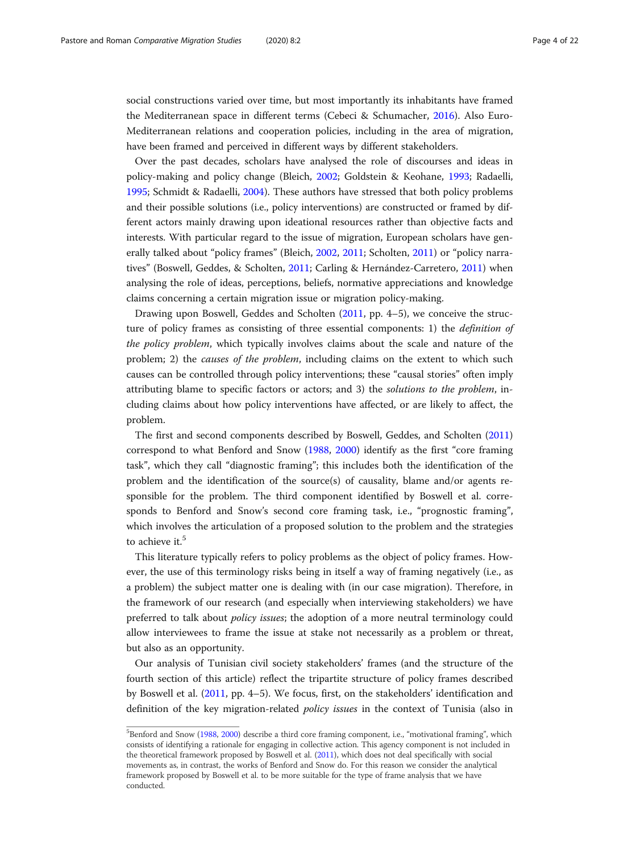social constructions varied over time, but most importantly its inhabitants have framed the Mediterranean space in different terms (Cebeci & Schumacher, [2016](#page-19-0)). Also Euro-Mediterranean relations and cooperation policies, including in the area of migration, have been framed and perceived in different ways by different stakeholders.

Over the past decades, scholars have analysed the role of discourses and ideas in policy-making and policy change (Bleich, [2002](#page-19-0); Goldstein & Keohane, [1993](#page-20-0); Radaelli, [1995](#page-20-0); Schmidt & Radaelli, [2004\)](#page-20-0). These authors have stressed that both policy problems and their possible solutions (i.e., policy interventions) are constructed or framed by different actors mainly drawing upon ideational resources rather than objective facts and interests. With particular regard to the issue of migration, European scholars have generally talked about "policy frames" (Bleich, [2002,](#page-19-0) [2011;](#page-19-0) Scholten, [2011\)](#page-20-0) or "policy narratives" (Boswell, Geddes, & Scholten, [2011](#page-19-0); Carling & Hernández-Carretero, [2011](#page-19-0)) when analysing the role of ideas, perceptions, beliefs, normative appreciations and knowledge claims concerning a certain migration issue or migration policy-making.

Drawing upon Boswell, Geddes and Scholten ([2011](#page-19-0), pp. 4–5), we conceive the structure of policy frames as consisting of three essential components: 1) the definition of the policy problem, which typically involves claims about the scale and nature of the problem; 2) the causes of the problem, including claims on the extent to which such causes can be controlled through policy interventions; these "causal stories" often imply attributing blame to specific factors or actors; and 3) the solutions to the problem, including claims about how policy interventions have affected, or are likely to affect, the problem.

The first and second components described by Boswell, Geddes, and Scholten ([2011](#page-19-0)) correspond to what Benford and Snow ([1988](#page-18-0), [2000\)](#page-19-0) identify as the first "core framing task", which they call "diagnostic framing"; this includes both the identification of the problem and the identification of the source(s) of causality, blame and/or agents responsible for the problem. The third component identified by Boswell et al. corresponds to Benford and Snow's second core framing task, i.e., "prognostic framing", which involves the articulation of a proposed solution to the problem and the strategies to achieve it.<sup>5</sup>

This literature typically refers to policy problems as the object of policy frames. However, the use of this terminology risks being in itself a way of framing negatively (i.e., as a problem) the subject matter one is dealing with (in our case migration). Therefore, in the framework of our research (and especially when interviewing stakeholders) we have preferred to talk about policy issues; the adoption of a more neutral terminology could allow interviewees to frame the issue at stake not necessarily as a problem or threat, but also as an opportunity.

Our analysis of Tunisian civil society stakeholders' frames (and the structure of the fourth section of this article) reflect the tripartite structure of policy frames described by Boswell et al. [\(2011,](#page-19-0) pp. 4–5). We focus, first, on the stakeholders' identification and definition of the key migration-related policy issues in the context of Tunisia (also in

<sup>&</sup>lt;sup>5</sup>Benford and Snow [\(1988,](#page-19-0) [2000\)](#page-19-0) describe a third core framing component, i.e., "motivational framing", which consists of identifying a rationale for engaging in collective action. This agency component is not included in the theoretical framework proposed by Boswell et al. [\(2011\)](#page-19-0), which does not deal specifically with social movements as, in contrast, the works of Benford and Snow do. For this reason we consider the analytical framework proposed by Boswell et al. to be more suitable for the type of frame analysis that we have conducted.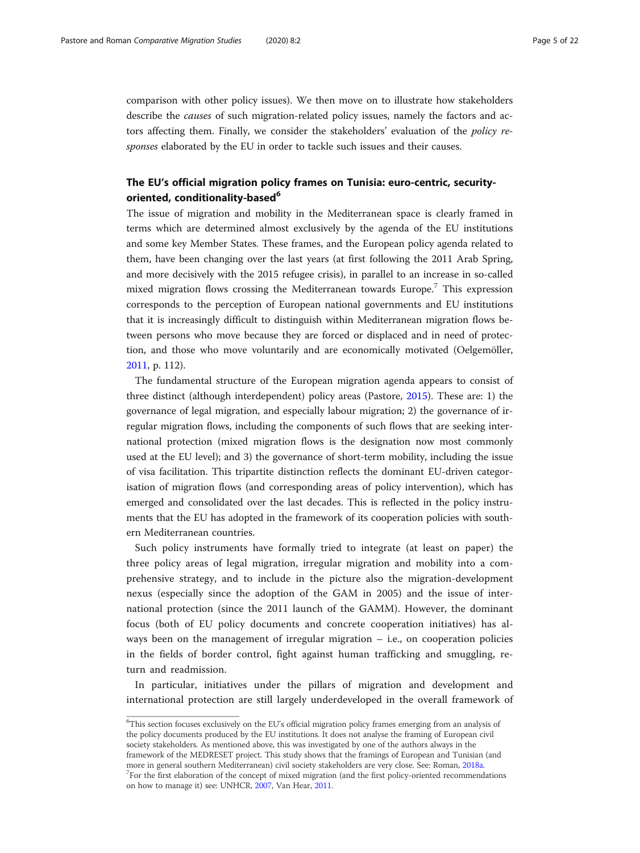comparison with other policy issues). We then move on to illustrate how stakeholders describe the causes of such migration-related policy issues, namely the factors and actors affecting them. Finally, we consider the stakeholders' evaluation of the policy responses elaborated by the EU in order to tackle such issues and their causes.

# The EU's official migration policy frames on Tunisia: euro-centric, securityoriented, conditionality-based<sup>6</sup>

The issue of migration and mobility in the Mediterranean space is clearly framed in terms which are determined almost exclusively by the agenda of the EU institutions and some key Member States. These frames, and the European policy agenda related to them, have been changing over the last years (at first following the 2011 Arab Spring, and more decisively with the 2015 refugee crisis), in parallel to an increase in so-called mixed migration flows crossing the Mediterranean towards Europe.<sup>7</sup> This expression corresponds to the perception of European national governments and EU institutions that it is increasingly difficult to distinguish within Mediterranean migration flows between persons who move because they are forced or displaced and in need of protection, and those who move voluntarily and are economically motivated (Oelgemöller, [2011](#page-20-0), p. 112).

The fundamental structure of the European migration agenda appears to consist of three distinct (although interdependent) policy areas (Pastore, [2015](#page-20-0)). These are: 1) the governance of legal migration, and especially labour migration; 2) the governance of irregular migration flows, including the components of such flows that are seeking international protection (mixed migration flows is the designation now most commonly used at the EU level); and 3) the governance of short-term mobility, including the issue of visa facilitation. This tripartite distinction reflects the dominant EU-driven categorisation of migration flows (and corresponding areas of policy intervention), which has emerged and consolidated over the last decades. This is reflected in the policy instruments that the EU has adopted in the framework of its cooperation policies with southern Mediterranean countries.

Such policy instruments have formally tried to integrate (at least on paper) the three policy areas of legal migration, irregular migration and mobility into a comprehensive strategy, and to include in the picture also the migration-development nexus (especially since the adoption of the GAM in 2005) and the issue of international protection (since the 2011 launch of the GAMM). However, the dominant focus (both of EU policy documents and concrete cooperation initiatives) has always been on the management of irregular migration – i.e., on cooperation policies in the fields of border control, fight against human trafficking and smuggling, return and readmission.

In particular, initiatives under the pillars of migration and development and international protection are still largely underdeveloped in the overall framework of

framework of the MEDRESET project. This study shows that the framings of European and Tunisian (and more in general southern Mediterranean) civil society stakeholders are very close. See: Roman, [2018a.](#page-20-0) <sup>7</sup>  $\sigma$ For the first elaboration of the concept of mixed migration (and the first policy-oriented recommendations on how to manage it) see: UNHCR, [2007,](#page-20-0) Van Hear, [2011.](#page-20-0)

<sup>&</sup>lt;sup>6</sup>This section focuses exclusively on the EU's official migration policy frames emerging from an analysis of the policy documents produced by the EU institutions. It does not analyse the framing of European civil society stakeholders. As mentioned above, this was investigated by one of the authors always in the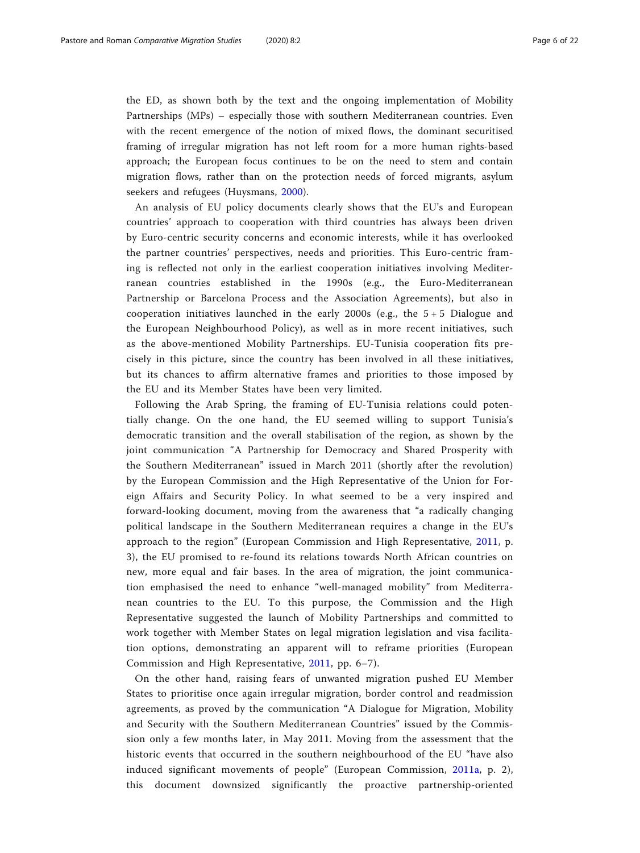the ED, as shown both by the text and the ongoing implementation of Mobility Partnerships (MPs) – especially those with southern Mediterranean countries. Even with the recent emergence of the notion of mixed flows, the dominant securitised framing of irregular migration has not left room for a more human rights-based approach; the European focus continues to be on the need to stem and contain migration flows, rather than on the protection needs of forced migrants, asylum seekers and refugees (Huysmans, [2000\)](#page-20-0).

An analysis of EU policy documents clearly shows that the EU's and European countries' approach to cooperation with third countries has always been driven by Euro-centric security concerns and economic interests, while it has overlooked the partner countries' perspectives, needs and priorities. This Euro-centric framing is reflected not only in the earliest cooperation initiatives involving Mediterranean countries established in the 1990s (e.g., the Euro-Mediterranean Partnership or Barcelona Process and the Association Agreements), but also in cooperation initiatives launched in the early 2000s (e.g., the  $5 + 5$  Dialogue and the European Neighbourhood Policy), as well as in more recent initiatives, such as the above-mentioned Mobility Partnerships. EU-Tunisia cooperation fits precisely in this picture, since the country has been involved in all these initiatives, but its chances to affirm alternative frames and priorities to those imposed by the EU and its Member States have been very limited.

Following the Arab Spring, the framing of EU-Tunisia relations could potentially change. On the one hand, the EU seemed willing to support Tunisia's democratic transition and the overall stabilisation of the region, as shown by the joint communication "A Partnership for Democracy and Shared Prosperity with the Southern Mediterranean" issued in March 2011 (shortly after the revolution) by the European Commission and the High Representative of the Union for Foreign Affairs and Security Policy. In what seemed to be a very inspired and forward-looking document, moving from the awareness that "a radically changing political landscape in the Southern Mediterranean requires a change in the EU's approach to the region" (European Commission and High Representative, [2011,](#page-19-0) p. 3), the EU promised to re-found its relations towards North African countries on new, more equal and fair bases. In the area of migration, the joint communication emphasised the need to enhance "well-managed mobility" from Mediterranean countries to the EU. To this purpose, the Commission and the High Representative suggested the launch of Mobility Partnerships and committed to work together with Member States on legal migration legislation and visa facilitation options, demonstrating an apparent will to reframe priorities (European Commission and High Representative, [2011,](#page-19-0) pp. 6–7).

On the other hand, raising fears of unwanted migration pushed EU Member States to prioritise once again irregular migration, border control and readmission agreements, as proved by the communication "A Dialogue for Migration, Mobility and Security with the Southern Mediterranean Countries" issued by the Commission only a few months later, in May 2011. Moving from the assessment that the historic events that occurred in the southern neighbourhood of the EU "have also induced significant movements of people" (European Commission, [2011a](#page-19-0), p. 2), this document downsized significantly the proactive partnership-oriented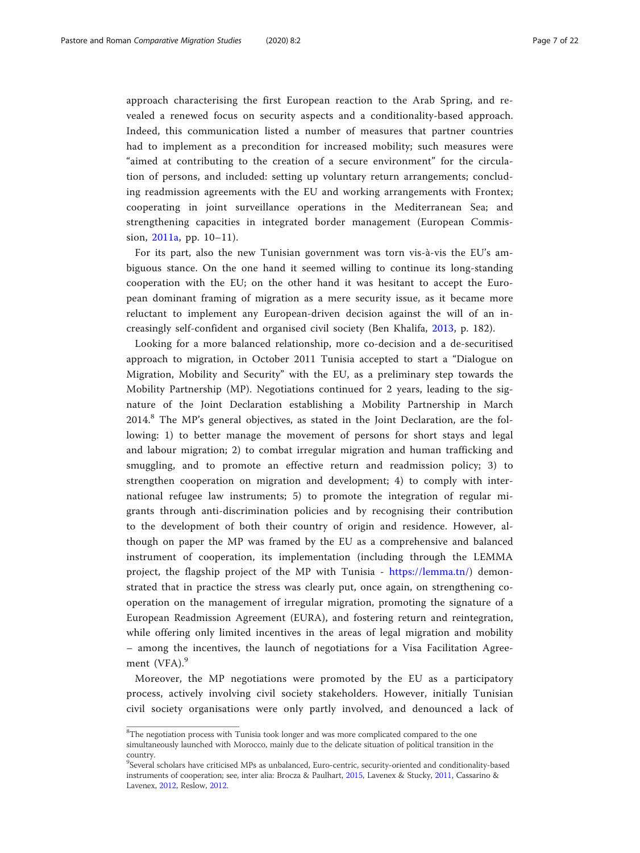approach characterising the first European reaction to the Arab Spring, and revealed a renewed focus on security aspects and a conditionality-based approach. Indeed, this communication listed a number of measures that partner countries had to implement as a precondition for increased mobility; such measures were "aimed at contributing to the creation of a secure environment" for the circulation of persons, and included: setting up voluntary return arrangements; concluding readmission agreements with the EU and working arrangements with Frontex; cooperating in joint surveillance operations in the Mediterranean Sea; and strengthening capacities in integrated border management (European Commission, [2011a,](#page-19-0) pp. 10–11).

For its part, also the new Tunisian government was torn vis-à-vis the EU's ambiguous stance. On the one hand it seemed willing to continue its long-standing cooperation with the EU; on the other hand it was hesitant to accept the European dominant framing of migration as a mere security issue, as it became more reluctant to implement any European-driven decision against the will of an increasingly self-confident and organised civil society (Ben Khalifa, [2013,](#page-18-0) p. 182).

Looking for a more balanced relationship, more co-decision and a de-securitised approach to migration, in October 2011 Tunisia accepted to start a "Dialogue on Migration, Mobility and Security" with the EU, as a preliminary step towards the Mobility Partnership (MP). Negotiations continued for 2 years, leading to the signature of the Joint Declaration establishing a Mobility Partnership in March 2014.<sup>8</sup> The MP's general objectives, as stated in the Joint Declaration, are the following: 1) to better manage the movement of persons for short stays and legal and labour migration; 2) to combat irregular migration and human trafficking and smuggling, and to promote an effective return and readmission policy; 3) to strengthen cooperation on migration and development; 4) to comply with international refugee law instruments; 5) to promote the integration of regular migrants through anti-discrimination policies and by recognising their contribution to the development of both their country of origin and residence. However, although on paper the MP was framed by the EU as a comprehensive and balanced instrument of cooperation, its implementation (including through the LEMMA project, the flagship project of the MP with Tunisia - [https://lemma.tn/\)](https://lemma.tn/) demonstrated that in practice the stress was clearly put, once again, on strengthening cooperation on the management of irregular migration, promoting the signature of a European Readmission Agreement (EURA), and fostering return and reintegration, while offering only limited incentives in the areas of legal migration and mobility – among the incentives, the launch of negotiations for a Visa Facilitation Agreement  $(VFA)$ .<sup>9</sup>

Moreover, the MP negotiations were promoted by the EU as a participatory process, actively involving civil society stakeholders. However, initially Tunisian civil society organisations were only partly involved, and denounced a lack of

<sup>&</sup>lt;sup>8</sup>The negotiation process with Tunisia took longer and was more complicated compared to the one simultaneously launched with Morocco, mainly due to the delicate situation of political transition in the country.

<sup>&</sup>lt;sup>9</sup>Several scholars have criticised MPs as unbalanced, Euro-centric, security-oriented and conditionality-based instruments of cooperation; see, inter alia: Brocza & Paulhart, [2015,](#page-19-0) Lavenex & Stucky, [2011,](#page-20-0) Cassarino & Lavenex, [2012](#page-19-0), Reslow, [2012.](#page-20-0)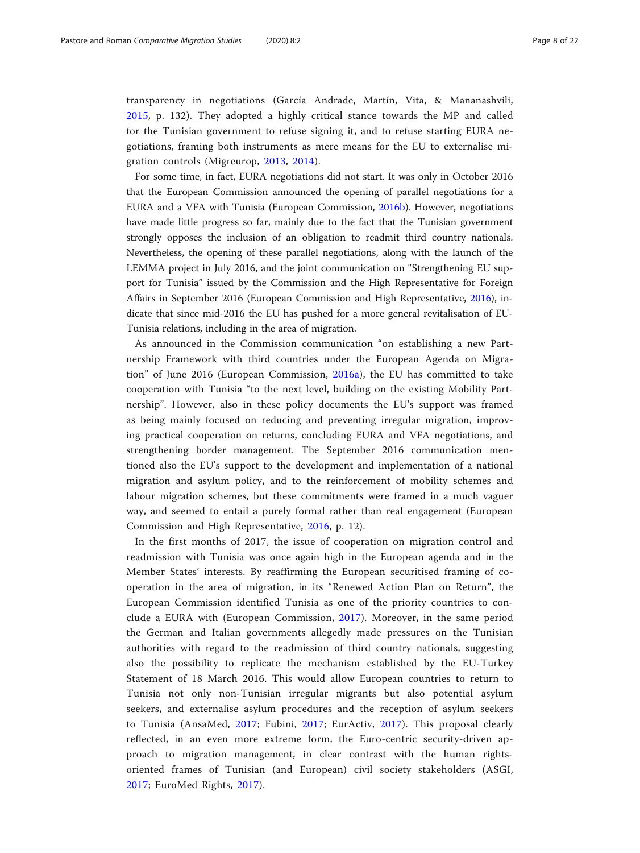transparency in negotiations (García Andrade, Martín, Vita, & Mananashvili, [2015](#page-20-0), p. 132). They adopted a highly critical stance towards the MP and called for the Tunisian government to refuse signing it, and to refuse starting EURA negotiations, framing both instruments as mere means for the EU to externalise migration controls (Migreurop, [2013](#page-20-0), [2014\)](#page-20-0).

For some time, in fact, EURA negotiations did not start. It was only in October 2016 that the European Commission announced the opening of parallel negotiations for a EURA and a VFA with Tunisia (European Commission, [2016b](#page-19-0)). However, negotiations have made little progress so far, mainly due to the fact that the Tunisian government strongly opposes the inclusion of an obligation to readmit third country nationals. Nevertheless, the opening of these parallel negotiations, along with the launch of the LEMMA project in July 2016, and the joint communication on "Strengthening EU support for Tunisia" issued by the Commission and the High Representative for Foreign Affairs in September 2016 (European Commission and High Representative, [2016](#page-19-0)), indicate that since mid-2016 the EU has pushed for a more general revitalisation of EU-Tunisia relations, including in the area of migration.

As announced in the Commission communication "on establishing a new Partnership Framework with third countries under the European Agenda on Migration" of June 2016 (European Commission, [2016a\)](#page-19-0), the EU has committed to take cooperation with Tunisia "to the next level, building on the existing Mobility Partnership". However, also in these policy documents the EU's support was framed as being mainly focused on reducing and preventing irregular migration, improving practical cooperation on returns, concluding EURA and VFA negotiations, and strengthening border management. The September 2016 communication mentioned also the EU's support to the development and implementation of a national migration and asylum policy, and to the reinforcement of mobility schemes and labour migration schemes, but these commitments were framed in a much vaguer way, and seemed to entail a purely formal rather than real engagement (European Commission and High Representative, [2016,](#page-19-0) p. 12).

In the first months of 2017, the issue of cooperation on migration control and readmission with Tunisia was once again high in the European agenda and in the Member States' interests. By reaffirming the European securitised framing of cooperation in the area of migration, in its "Renewed Action Plan on Return", the European Commission identified Tunisia as one of the priority countries to conclude a EURA with (European Commission, [2017](#page-19-0)). Moreover, in the same period the German and Italian governments allegedly made pressures on the Tunisian authorities with regard to the readmission of third country nationals, suggesting also the possibility to replicate the mechanism established by the EU-Turkey Statement of 18 March 2016. This would allow European countries to return to Tunisia not only non-Tunisian irregular migrants but also potential asylum seekers, and externalise asylum procedures and the reception of asylum seekers to Tunisia (AnsaMed, [2017;](#page-18-0) Fubini, [2017;](#page-20-0) EurActiv, [2017](#page-19-0)). This proposal clearly reflected, in an even more extreme form, the Euro-centric security-driven approach to migration management, in clear contrast with the human rightsoriented frames of Tunisian (and European) civil society stakeholders (ASGI, [2017](#page-18-0); EuroMed Rights, [2017](#page-19-0)).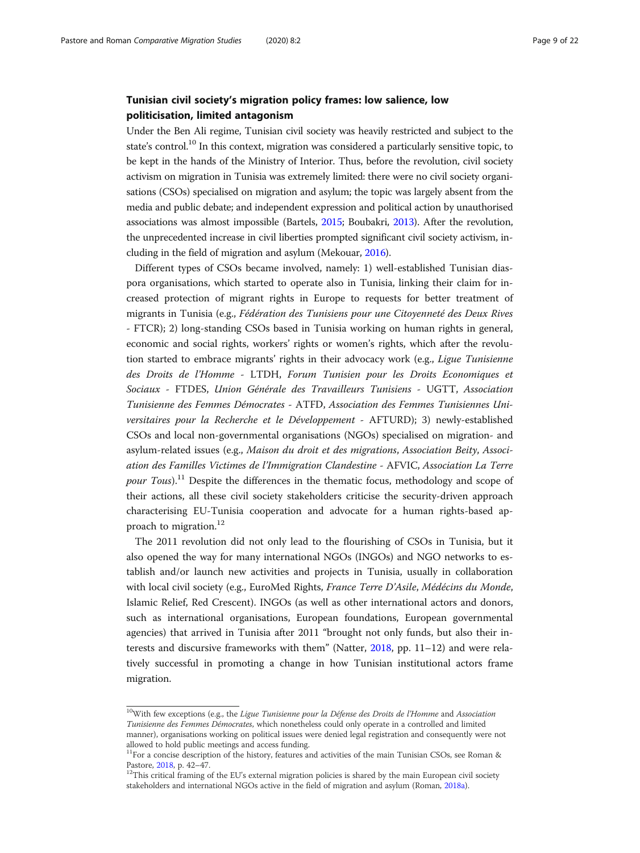# Tunisian civil society's migration policy frames: low salience, low politicisation, limited antagonism

Under the Ben Ali regime, Tunisian civil society was heavily restricted and subject to the state's control.<sup>10</sup> In this context, migration was considered a particularly sensitive topic, to be kept in the hands of the Ministry of Interior. Thus, before the revolution, civil society activism on migration in Tunisia was extremely limited: there were no civil society organisations (CSOs) specialised on migration and asylum; the topic was largely absent from the media and public debate; and independent expression and political action by unauthorised associations was almost impossible (Bartels, [2015;](#page-18-0) Boubakri, [2013](#page-19-0)). After the revolution, the unprecedented increase in civil liberties prompted significant civil society activism, including in the field of migration and asylum (Mekouar, [2016\)](#page-20-0).

Different types of CSOs became involved, namely: 1) well-established Tunisian diaspora organisations, which started to operate also in Tunisia, linking their claim for increased protection of migrant rights in Europe to requests for better treatment of migrants in Tunisia (e.g., Fédération des Tunisiens pour une Citoyenneté des Deux Rives - FTCR); 2) long-standing CSOs based in Tunisia working on human rights in general, economic and social rights, workers' rights or women's rights, which after the revolution started to embrace migrants' rights in their advocacy work (e.g., Ligue Tunisienne des Droits de l'Homme - LTDH, Forum Tunisien pour les Droits Economiques et Sociaux - FTDES, Union Générale des Travailleurs Tunisiens - UGTT, Association Tunisienne des Femmes Démocrates - ATFD, Association des Femmes Tunisiennes Universitaires pour la Recherche et le Développement - AFTURD); 3) newly-established CSOs and local non-governmental organisations (NGOs) specialised on migration- and asylum-related issues (e.g., Maison du droit et des migrations, Association Beity, Association des Familles Victimes de l'Immigration Clandestine - AFVIC, Association La Terre *pour Tous*).<sup>11</sup> Despite the differences in the thematic focus, methodology and scope of their actions, all these civil society stakeholders criticise the security-driven approach characterising EU-Tunisia cooperation and advocate for a human rights-based approach to migration.<sup>12</sup>

The 2011 revolution did not only lead to the flourishing of CSOs in Tunisia, but it also opened the way for many international NGOs (INGOs) and NGO networks to establish and/or launch new activities and projects in Tunisia, usually in collaboration with local civil society (e.g., EuroMed Rights, France Terre D'Asile, Médécins du Monde, Islamic Relief, Red Crescent). INGOs (as well as other international actors and donors, such as international organisations, European foundations, European governmental agencies) that arrived in Tunisia after 2011 "brought not only funds, but also their interests and discursive frameworks with them" (Natter, [2018](#page-20-0), pp. 11–12) and were relatively successful in promoting a change in how Tunisian institutional actors frame migration.

 $10$ With few exceptions (e.g., the Ligue Tunisienne pour la Défense des Droits de l'Homme and Association Tunisienne des Femmes Démocrates, which nonetheless could only operate in a controlled and limited manner), organisations working on political issues were denied legal registration and consequently were not allowed to hold public meetings and access funding.

<sup>&</sup>lt;sup>11</sup>For a concise description of the history, features and activities of the main Tunisian CSOs, see Roman &

Pastore, [2018](#page-20-0), p. 42–47.<br><sup>12</sup>This critical framing of the EU's external migration policies is shared by the main European civil society stakeholders and international NGOs active in the field of migration and asylum (Roman, [2018a\)](#page-20-0).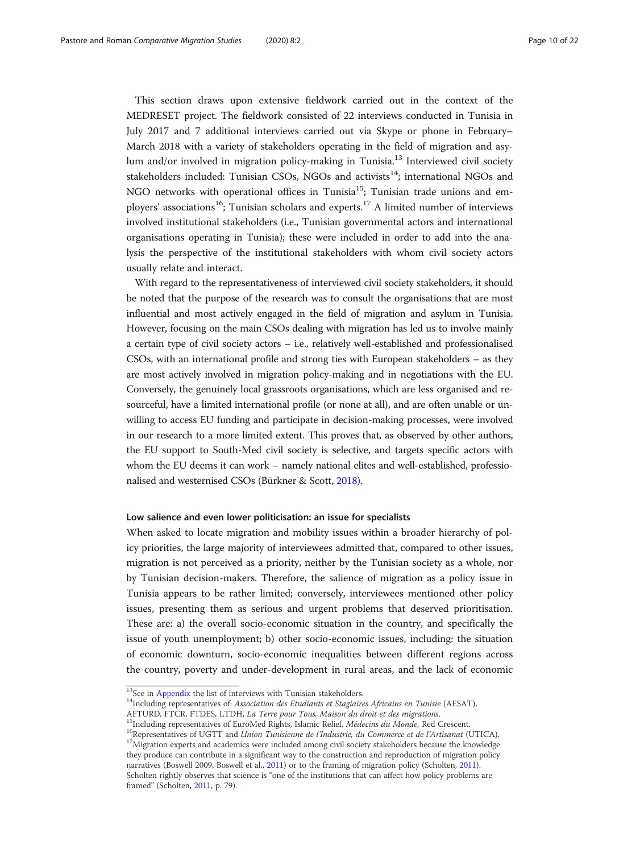This section draws upon extensive fieldwork carried out in the context of the MEDRESET project. The fieldwork consisted of 22 interviews conducted in Tunisia in July 2017 and 7 additional interviews carried out via Skype or phone in February– March 2018 with a variety of stakeholders operating in the field of migration and asylum and/or involved in migration policy-making in Tunisia.<sup>13</sup> Interviewed civil society stakeholders included: Tunisian CSOs, NGOs and activists<sup>14</sup>; international NGOs and NGO networks with operational offices in Tunisia<sup>15</sup>; Tunisian trade unions and employers' associations<sup>16</sup>; Tunisian scholars and experts.<sup>17</sup> A limited number of interviews involved institutional stakeholders (i.e., Tunisian governmental actors and international organisations operating in Tunisia); these were included in order to add into the analysis the perspective of the institutional stakeholders with whom civil society actors usually relate and interact.

With regard to the representativeness of interviewed civil society stakeholders, it should be noted that the purpose of the research was to consult the organisations that are most influential and most actively engaged in the field of migration and asylum in Tunisia. However, focusing on the main CSOs dealing with migration has led us to involve mainly a certain type of civil society actors – i.e., relatively well-established and professionalised CSOs, with an international profile and strong ties with European stakeholders – as they are most actively involved in migration policy-making and in negotiations with the EU. Conversely, the genuinely local grassroots organisations, which are less organised and resourceful, have a limited international profile (or none at all), and are often unable or unwilling to access EU funding and participate in decision-making processes, were involved in our research to a more limited extent. This proves that, as observed by other authors, the EU support to South-Med civil society is selective, and targets specific actors with whom the EU deems it can work – namely national elites and well-established, professionalised and westernised CSOs (Bürkner & Scott, [2018\)](#page-19-0).

#### Low salience and even lower politicisation: an issue for specialists

When asked to locate migration and mobility issues within a broader hierarchy of policy priorities, the large majority of interviewees admitted that, compared to other issues, migration is not perceived as a priority, neither by the Tunisian society as a whole, nor by Tunisian decision-makers. Therefore, the salience of migration as a policy issue in Tunisia appears to be rather limited; conversely, interviewees mentioned other policy issues, presenting them as serious and urgent problems that deserved prioritisation. These are: a) the overall socio-economic situation in the country, and specifically the issue of youth unemployment; b) other socio-economic issues, including: the situation of economic downturn, socio-economic inequalities between different regions across the country, poverty and under-development in rural areas, and the lack of economic

<sup>&</sup>lt;sup>13</sup>See in [Appendix](#page-17-0) the list of interviews with Tunisian stakeholders.<br><sup>14</sup>Including representatives of: *Association des Etudiants et Stagiaires Africains en Tunisie* (AESAT), AFTURD, FTCR, FTDES, LTDH, *La Terre pour To* 

<sup>&</sup>lt;sup>15</sup>Including representatives of EuroMed Rights, Islamic Relief, *Médecins du Monde*, Red Crescent.<br><sup>16</sup>Representatives of UGTT and *Union Tunisienne de l'Industrie, du Commerce et de l'Artisanat* (UTICA).<br><sup>17</sup>Migration e they produce can contribute in a significant way to the construction and reproduction of migration policy narratives (Boswell 2009, Boswell et al., [2011](#page-19-0)) or to the framing of migration policy (Scholten, [2011](#page-20-0)). Scholten rightly observes that science is "one of the institutions that can affect how policy problems are framed" (Scholten, [2011](#page-20-0), p. 79).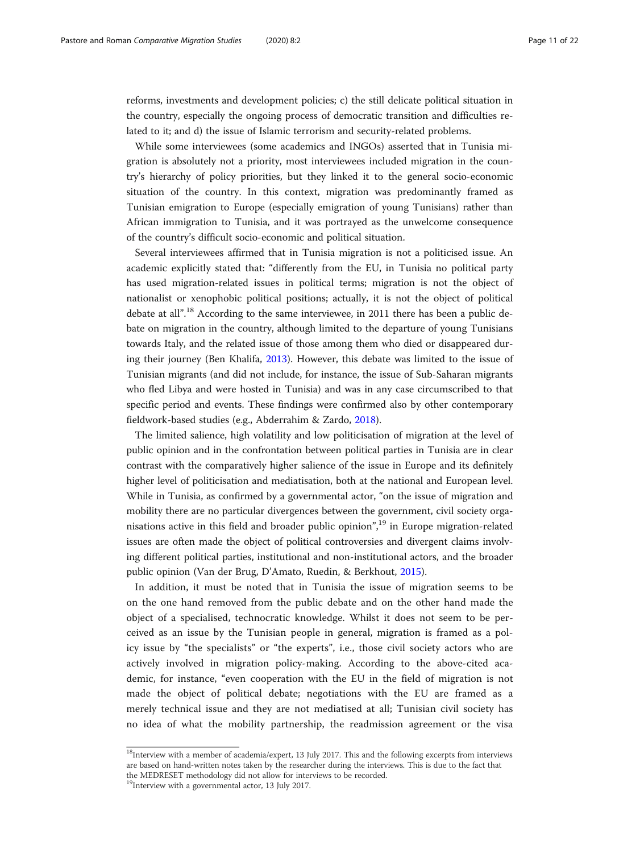reforms, investments and development policies; c) the still delicate political situation in the country, especially the ongoing process of democratic transition and difficulties related to it; and d) the issue of Islamic terrorism and security-related problems.

While some interviewees (some academics and INGOs) asserted that in Tunisia migration is absolutely not a priority, most interviewees included migration in the country's hierarchy of policy priorities, but they linked it to the general socio-economic situation of the country. In this context, migration was predominantly framed as Tunisian emigration to Europe (especially emigration of young Tunisians) rather than African immigration to Tunisia, and it was portrayed as the unwelcome consequence of the country's difficult socio-economic and political situation.

Several interviewees affirmed that in Tunisia migration is not a politicised issue. An academic explicitly stated that: "differently from the EU, in Tunisia no political party has used migration-related issues in political terms; migration is not the object of nationalist or xenophobic political positions; actually, it is not the object of political debate at all".<sup>18</sup> According to the same interviewee, in 2011 there has been a public debate on migration in the country, although limited to the departure of young Tunisians towards Italy, and the related issue of those among them who died or disappeared during their journey (Ben Khalifa, [2013](#page-18-0)). However, this debate was limited to the issue of Tunisian migrants (and did not include, for instance, the issue of Sub-Saharan migrants who fled Libya and were hosted in Tunisia) and was in any case circumscribed to that specific period and events. These findings were confirmed also by other contemporary fieldwork-based studies (e.g., Abderrahim & Zardo, [2018\)](#page-18-0).

The limited salience, high volatility and low politicisation of migration at the level of public opinion and in the confrontation between political parties in Tunisia are in clear contrast with the comparatively higher salience of the issue in Europe and its definitely higher level of politicisation and mediatisation, both at the national and European level. While in Tunisia, as confirmed by a governmental actor, "on the issue of migration and mobility there are no particular divergences between the government, civil society organisations active in this field and broader public opinion", <sup>19</sup> in Europe migration-related issues are often made the object of political controversies and divergent claims involving different political parties, institutional and non-institutional actors, and the broader public opinion (Van der Brug, D'Amato, Ruedin, & Berkhout, [2015](#page-20-0)).

In addition, it must be noted that in Tunisia the issue of migration seems to be on the one hand removed from the public debate and on the other hand made the object of a specialised, technocratic knowledge. Whilst it does not seem to be perceived as an issue by the Tunisian people in general, migration is framed as a policy issue by "the specialists" or "the experts", i.e., those civil society actors who are actively involved in migration policy-making. According to the above-cited academic, for instance, "even cooperation with the EU in the field of migration is not made the object of political debate; negotiations with the EU are framed as a merely technical issue and they are not mediatised at all; Tunisian civil society has no idea of what the mobility partnership, the readmission agreement or the visa

<sup>&</sup>lt;sup>18</sup>Interview with a member of academia/expert, 13 July 2017. This and the following excerpts from interviews are based on hand-written notes taken by the researcher during the interviews. This is due to the fact that the MEDRESET methodology did not allow for interviews to be recorded.

<sup>19</sup>Interview with a governmental actor, 13 July 2017.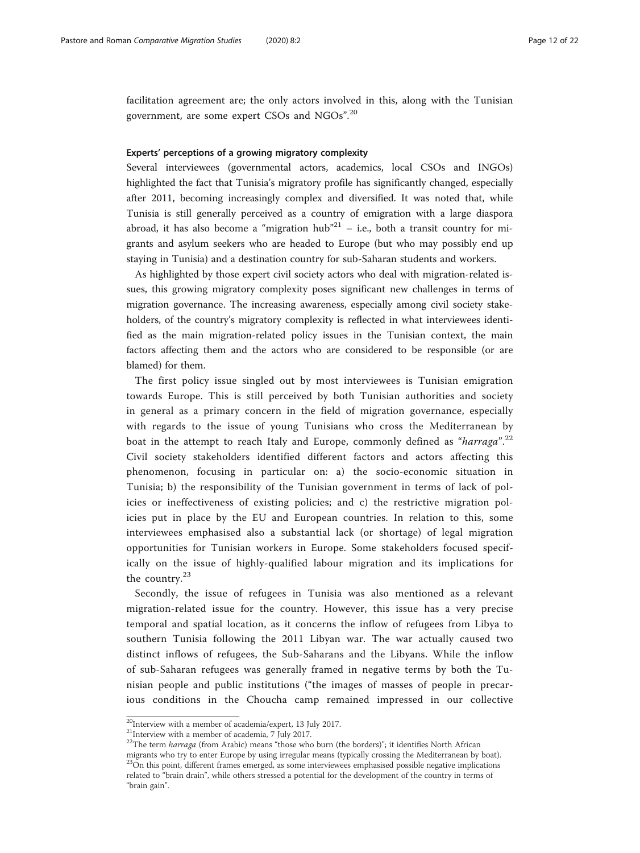facilitation agreement are; the only actors involved in this, along with the Tunisian government, are some expert CSOs and NGOs".<sup>20</sup>

#### Experts' perceptions of a growing migratory complexity

Several interviewees (governmental actors, academics, local CSOs and INGOs) highlighted the fact that Tunisia's migratory profile has significantly changed, especially after 2011, becoming increasingly complex and diversified. It was noted that, while Tunisia is still generally perceived as a country of emigration with a large diaspora abroad, it has also become a "migration hub" $^{21}$  – i.e., both a transit country for migrants and asylum seekers who are headed to Europe (but who may possibly end up staying in Tunisia) and a destination country for sub-Saharan students and workers.

As highlighted by those expert civil society actors who deal with migration-related issues, this growing migratory complexity poses significant new challenges in terms of migration governance. The increasing awareness, especially among civil society stakeholders, of the country's migratory complexity is reflected in what interviewees identified as the main migration-related policy issues in the Tunisian context, the main factors affecting them and the actors who are considered to be responsible (or are blamed) for them.

The first policy issue singled out by most interviewees is Tunisian emigration towards Europe. This is still perceived by both Tunisian authorities and society in general as a primary concern in the field of migration governance, especially with regards to the issue of young Tunisians who cross the Mediterranean by boat in the attempt to reach Italy and Europe, commonly defined as "harraga".<sup>22</sup> Civil society stakeholders identified different factors and actors affecting this phenomenon, focusing in particular on: a) the socio-economic situation in Tunisia; b) the responsibility of the Tunisian government in terms of lack of policies or ineffectiveness of existing policies; and c) the restrictive migration policies put in place by the EU and European countries. In relation to this, some interviewees emphasised also a substantial lack (or shortage) of legal migration opportunities for Tunisian workers in Europe. Some stakeholders focused specifically on the issue of highly-qualified labour migration and its implications for the country.<sup>23</sup>

Secondly, the issue of refugees in Tunisia was also mentioned as a relevant migration-related issue for the country. However, this issue has a very precise temporal and spatial location, as it concerns the inflow of refugees from Libya to southern Tunisia following the 2011 Libyan war. The war actually caused two distinct inflows of refugees, the Sub-Saharans and the Libyans. While the inflow of sub-Saharan refugees was generally framed in negative terms by both the Tunisian people and public institutions ("the images of masses of people in precarious conditions in the Choucha camp remained impressed in our collective

<sup>20</sup>Interview with a member of academia/expert, 13 July 2017.

<sup>&</sup>lt;sup>21</sup>Interview with a member of academia, 7 July 2017.

<sup>&</sup>lt;sup>22</sup>The term *harraga* (from Arabic) means "those who burn (the borders)"; it identifies North African migrants who try to enter Europe by using irregular means (typically crossing the Mediterranean by boat). <sup>23</sup>On this point, different frames emerged, as some interviewees emphasised possible negative implications related to "brain drain", while others stressed a potential for the development of the country in terms of "brain gain".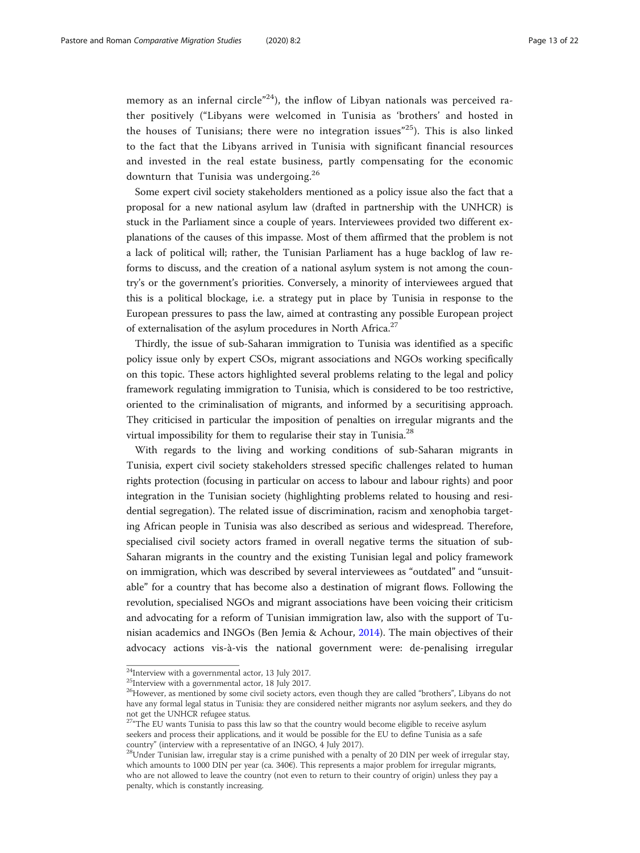memory as an infernal circle"<sup>24</sup>), the inflow of Libyan nationals was perceived rather positively ("Libyans were welcomed in Tunisia as 'brothers' and hosted in the houses of Tunisians; there were no integration issues"<sup>25</sup>). This is also linked to the fact that the Libyans arrived in Tunisia with significant financial resources and invested in the real estate business, partly compensating for the economic downturn that Tunisia was undergoing.<sup>26</sup>

Some expert civil society stakeholders mentioned as a policy issue also the fact that a proposal for a new national asylum law (drafted in partnership with the UNHCR) is stuck in the Parliament since a couple of years. Interviewees provided two different explanations of the causes of this impasse. Most of them affirmed that the problem is not a lack of political will; rather, the Tunisian Parliament has a huge backlog of law reforms to discuss, and the creation of a national asylum system is not among the country's or the government's priorities. Conversely, a minority of interviewees argued that this is a political blockage, i.e. a strategy put in place by Tunisia in response to the European pressures to pass the law, aimed at contrasting any possible European project of externalisation of the asylum procedures in North Africa.<sup>27</sup>

Thirdly, the issue of sub-Saharan immigration to Tunisia was identified as a specific policy issue only by expert CSOs, migrant associations and NGOs working specifically on this topic. These actors highlighted several problems relating to the legal and policy framework regulating immigration to Tunisia, which is considered to be too restrictive, oriented to the criminalisation of migrants, and informed by a securitising approach. They criticised in particular the imposition of penalties on irregular migrants and the virtual impossibility for them to regularise their stay in Tunisia. $^{28}$ 

With regards to the living and working conditions of sub-Saharan migrants in Tunisia, expert civil society stakeholders stressed specific challenges related to human rights protection (focusing in particular on access to labour and labour rights) and poor integration in the Tunisian society (highlighting problems related to housing and residential segregation). The related issue of discrimination, racism and xenophobia targeting African people in Tunisia was also described as serious and widespread. Therefore, specialised civil society actors framed in overall negative terms the situation of sub-Saharan migrants in the country and the existing Tunisian legal and policy framework on immigration, which was described by several interviewees as "outdated" and "unsuitable" for a country that has become also a destination of migrant flows. Following the revolution, specialised NGOs and migrant associations have been voicing their criticism and advocating for a reform of Tunisian immigration law, also with the support of Tunisian academics and INGOs (Ben Jemia & Achour, [2014](#page-18-0)). The main objectives of their advocacy actions vis-à-vis the national government were: de-penalising irregular

<sup>24</sup>Interview with a governmental actor, 13 July 2017.

<sup>&</sup>lt;sup>25</sup>Interview with a governmental actor, 18 July 2017.

<sup>&</sup>lt;sup>26</sup>However, as mentioned by some civil society actors, even though they are called "brothers", Libyans do not have any formal legal status in Tunisia: they are considered neither migrants nor asylum seekers, and they do not get the UNHCR refugee status.

 $27''$ The EU wants Tunisia to pass this law so that the country would become eligible to receive asylum seekers and process their applications, and it would be possible for the EU to define Tunisia as a safe country" (interview with a representative of an INGO, 4 July 2017).

 $^{28}$ Under Tunisian law, irregular stay is a crime punished with a penalty of 20 DIN per week of irregular stay, which amounts to 1000 DIN per year (ca. 340€). This represents a major problem for irregular migrants, who are not allowed to leave the country (not even to return to their country of origin) unless they pay a penalty, which is constantly increasing.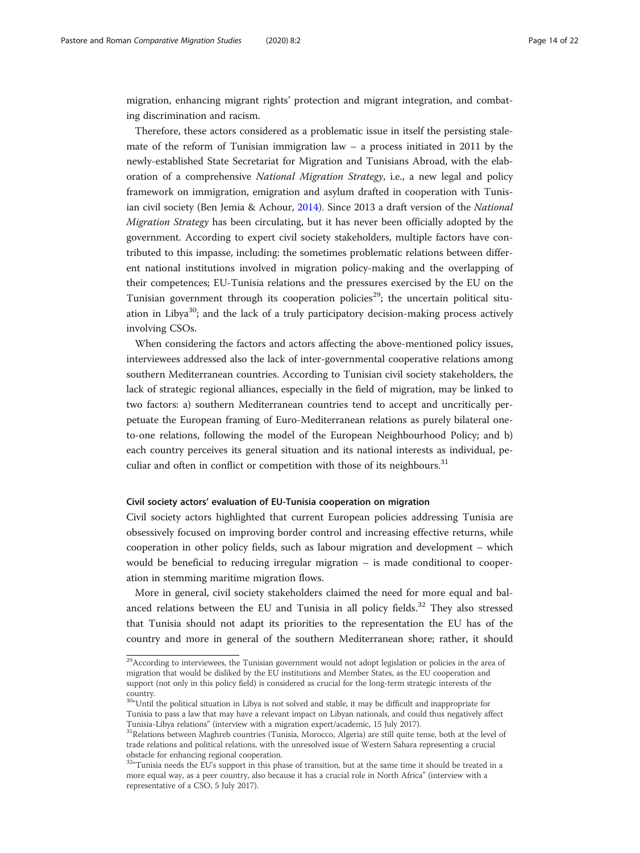migration, enhancing migrant rights' protection and migrant integration, and combating discrimination and racism.

Therefore, these actors considered as a problematic issue in itself the persisting stalemate of the reform of Tunisian immigration law  $-$  a process initiated in 2011 by the newly-established State Secretariat for Migration and Tunisians Abroad, with the elaboration of a comprehensive National Migration Strategy, i.e., a new legal and policy framework on immigration, emigration and asylum drafted in cooperation with Tunis-ian civil society (Ben Jemia & Achour, [2014\)](#page-18-0). Since 2013 a draft version of the National Migration Strategy has been circulating, but it has never been officially adopted by the government. According to expert civil society stakeholders, multiple factors have contributed to this impasse, including: the sometimes problematic relations between different national institutions involved in migration policy-making and the overlapping of their competences; EU-Tunisia relations and the pressures exercised by the EU on the Tunisian government through its cooperation policies<sup>29</sup>; the uncertain political situation in Libya<sup>30</sup>; and the lack of a truly participatory decision-making process actively involving CSOs.

When considering the factors and actors affecting the above-mentioned policy issues, interviewees addressed also the lack of inter-governmental cooperative relations among southern Mediterranean countries. According to Tunisian civil society stakeholders, the lack of strategic regional alliances, especially in the field of migration, may be linked to two factors: a) southern Mediterranean countries tend to accept and uncritically perpetuate the European framing of Euro-Mediterranean relations as purely bilateral oneto-one relations, following the model of the European Neighbourhood Policy; and b) each country perceives its general situation and its national interests as individual, peculiar and often in conflict or competition with those of its neighbours.<sup>31</sup>

#### Civil society actors' evaluation of EU-Tunisia cooperation on migration

Civil society actors highlighted that current European policies addressing Tunisia are obsessively focused on improving border control and increasing effective returns, while cooperation in other policy fields, such as labour migration and development – which would be beneficial to reducing irregular migration – is made conditional to cooperation in stemming maritime migration flows.

More in general, civil society stakeholders claimed the need for more equal and balanced relations between the EU and Tunisia in all policy fields.<sup>32</sup> They also stressed that Tunisia should not adapt its priorities to the representation the EU has of the country and more in general of the southern Mediterranean shore; rather, it should

<sup>&</sup>lt;sup>29</sup>According to interviewees, the Tunisian government would not adopt legislation or policies in the area of migration that would be disliked by the EU institutions and Member States, as the EU cooperation and support (not only in this policy field) is considered as crucial for the long-term strategic interests of the country.

<sup>&</sup>lt;sup>30</sup>"Until the political situation in Libya is not solved and stable, it may be difficult and inappropriate for Tunisia to pass a law that may have a relevant impact on Libyan nationals, and could thus negatively affect Tunisia-Libya relations" (interview with a migration expert/academic, 15 July 2017).<br><sup>31</sup>Relations between Maghreb countries (Tunisia, Morocco, Algeria) are still quite tense, both at the level of

trade relations and political relations, with the unresolved issue of Western Sahara representing a crucial obstacle for enhancing regional cooperation.

 $32''$ Tunisia needs the EU's support in this phase of transition, but at the same time it should be treated in a more equal way, as a peer country, also because it has a crucial role in North Africa" (interview with a representative of a CSO, 5 July 2017).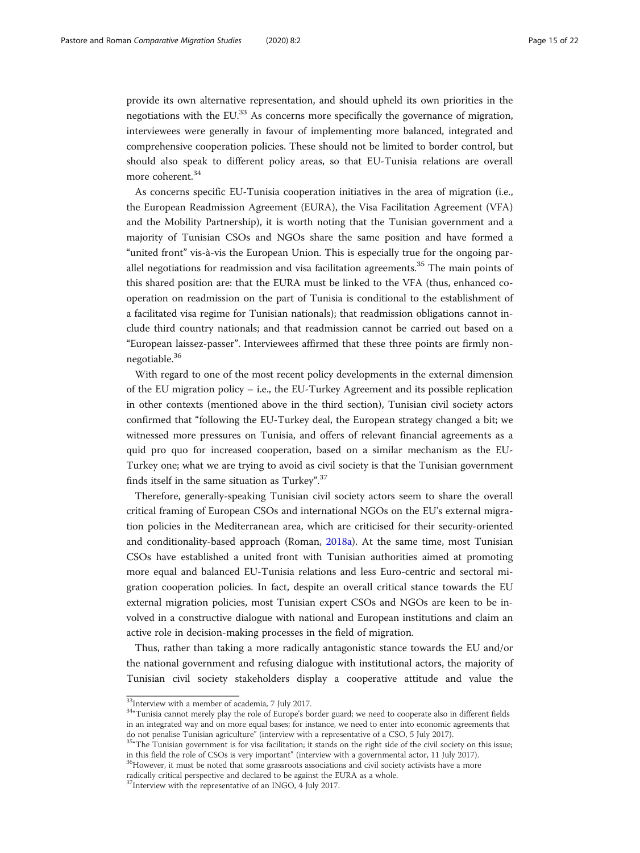provide its own alternative representation, and should upheld its own priorities in the negotiations with the EU. $^{33}$  As concerns more specifically the governance of migration, interviewees were generally in favour of implementing more balanced, integrated and comprehensive cooperation policies. These should not be limited to border control, but should also speak to different policy areas, so that EU-Tunisia relations are overall more coherent.<sup>34</sup>

As concerns specific EU-Tunisia cooperation initiatives in the area of migration (i.e., the European Readmission Agreement (EURA), the Visa Facilitation Agreement (VFA) and the Mobility Partnership), it is worth noting that the Tunisian government and a majority of Tunisian CSOs and NGOs share the same position and have formed a "united front" vis-à-vis the European Union. This is especially true for the ongoing parallel negotiations for readmission and visa facilitation agreements.<sup>35</sup> The main points of this shared position are: that the EURA must be linked to the VFA (thus, enhanced cooperation on readmission on the part of Tunisia is conditional to the establishment of a facilitated visa regime for Tunisian nationals); that readmission obligations cannot include third country nationals; and that readmission cannot be carried out based on a "European laissez-passer". Interviewees affirmed that these three points are firmly nonnegotiable.<sup>36</sup>

With regard to one of the most recent policy developments in the external dimension of the EU migration policy – i.e., the EU-Turkey Agreement and its possible replication in other contexts (mentioned above in the third section), Tunisian civil society actors confirmed that "following the EU-Turkey deal, the European strategy changed a bit; we witnessed more pressures on Tunisia, and offers of relevant financial agreements as a quid pro quo for increased cooperation, based on a similar mechanism as the EU-Turkey one; what we are trying to avoid as civil society is that the Tunisian government finds itself in the same situation as Turkey".<sup>37</sup>

Therefore, generally-speaking Tunisian civil society actors seem to share the overall critical framing of European CSOs and international NGOs on the EU's external migration policies in the Mediterranean area, which are criticised for their security-oriented and conditionality-based approach (Roman, [2018a\)](#page-20-0). At the same time, most Tunisian CSOs have established a united front with Tunisian authorities aimed at promoting more equal and balanced EU-Tunisia relations and less Euro-centric and sectoral migration cooperation policies. In fact, despite an overall critical stance towards the EU external migration policies, most Tunisian expert CSOs and NGOs are keen to be involved in a constructive dialogue with national and European institutions and claim an active role in decision-making processes in the field of migration.

Thus, rather than taking a more radically antagonistic stance towards the EU and/or the national government and refusing dialogue with institutional actors, the majority of Tunisian civil society stakeholders display a cooperative attitude and value the

<sup>&</sup>lt;sup>33</sup>Interview with a member of academia, 7 July 2017.

<sup>&</sup>lt;sup>34</sup>Tunisia cannot merely play the role of Europe's border guard; we need to cooperate also in different fields in an integrated way and on more equal bases; for instance, we need to enter into economic agreements that

do not penalise Tunisian agriculture" (interview with a representative of a CSO, 5 July 2017). <sup>35</sup> The Tunisian government is for visa facilitation; it stands on the right side of the civil society on this issue; in this field the role of CSOs is very important" (interview with a governmental actor, 11 July 2017).  $36$ However, it must be noted that some grassroots associations and civil society activists have a more

radically critical perspective and declared to be against the EURA as a whole.

<sup>&</sup>lt;sup>37</sup>Interview with the representative of an INGO, 4 July 2017.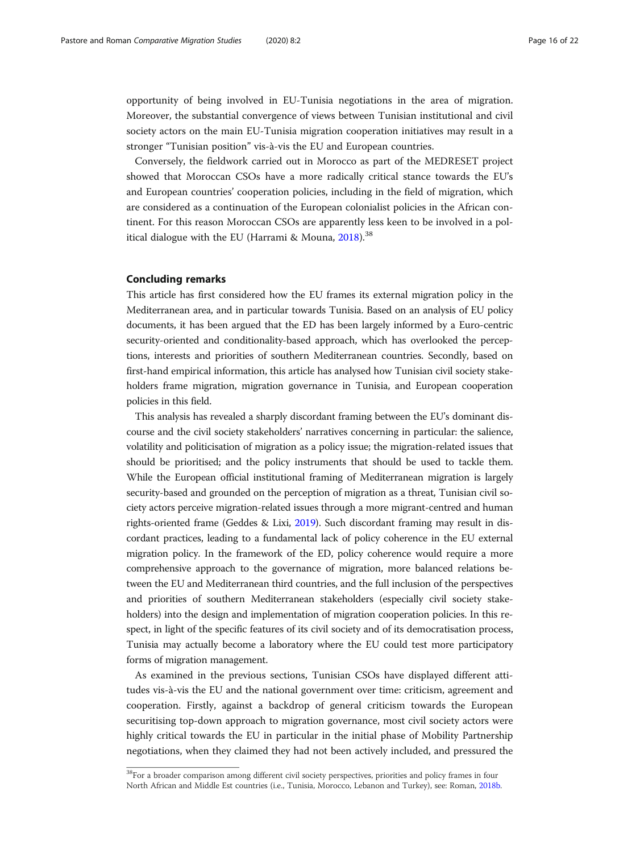opportunity of being involved in EU-Tunisia negotiations in the area of migration. Moreover, the substantial convergence of views between Tunisian institutional and civil society actors on the main EU-Tunisia migration cooperation initiatives may result in a stronger "Tunisian position" vis-à-vis the EU and European countries.

Conversely, the fieldwork carried out in Morocco as part of the MEDRESET project showed that Moroccan CSOs have a more radically critical stance towards the EU's and European countries' cooperation policies, including in the field of migration, which are considered as a continuation of the European colonialist policies in the African continent. For this reason Moroccan CSOs are apparently less keen to be involved in a political dialogue with the EU (Harrami & Mouna,  $2018$ ).<sup>38</sup>

#### Concluding remarks

This article has first considered how the EU frames its external migration policy in the Mediterranean area, and in particular towards Tunisia. Based on an analysis of EU policy documents, it has been argued that the ED has been largely informed by a Euro-centric security-oriented and conditionality-based approach, which has overlooked the perceptions, interests and priorities of southern Mediterranean countries. Secondly, based on first-hand empirical information, this article has analysed how Tunisian civil society stakeholders frame migration, migration governance in Tunisia, and European cooperation policies in this field.

This analysis has revealed a sharply discordant framing between the EU's dominant discourse and the civil society stakeholders' narratives concerning in particular: the salience, volatility and politicisation of migration as a policy issue; the migration-related issues that should be prioritised; and the policy instruments that should be used to tackle them. While the European official institutional framing of Mediterranean migration is largely security-based and grounded on the perception of migration as a threat, Tunisian civil society actors perceive migration-related issues through a more migrant-centred and human rights-oriented frame (Geddes & Lixi, [2019\)](#page-20-0). Such discordant framing may result in discordant practices, leading to a fundamental lack of policy coherence in the EU external migration policy. In the framework of the ED, policy coherence would require a more comprehensive approach to the governance of migration, more balanced relations between the EU and Mediterranean third countries, and the full inclusion of the perspectives and priorities of southern Mediterranean stakeholders (especially civil society stakeholders) into the design and implementation of migration cooperation policies. In this respect, in light of the specific features of its civil society and of its democratisation process, Tunisia may actually become a laboratory where the EU could test more participatory forms of migration management.

As examined in the previous sections, Tunisian CSOs have displayed different attitudes vis-à-vis the EU and the national government over time: criticism, agreement and cooperation. Firstly, against a backdrop of general criticism towards the European securitising top-down approach to migration governance, most civil society actors were highly critical towards the EU in particular in the initial phase of Mobility Partnership negotiations, when they claimed they had not been actively included, and pressured the

<sup>&</sup>lt;sup>38</sup>For a broader comparison among different civil society perspectives, priorities and policy frames in four North African and Middle Est countries (i.e., Tunisia, Morocco, Lebanon and Turkey), see: Roman, [2018b.](#page-20-0)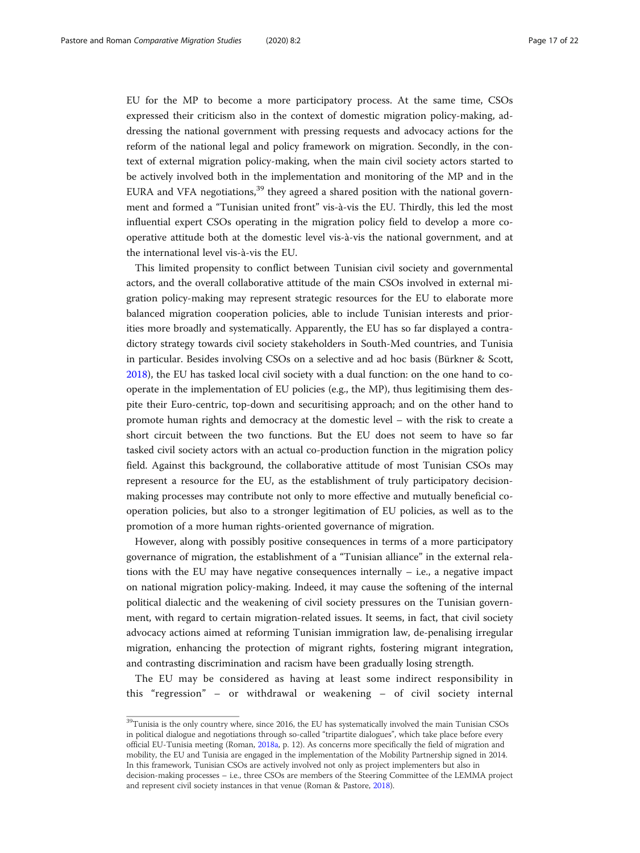EU for the MP to become a more participatory process. At the same time, CSOs expressed their criticism also in the context of domestic migration policy-making, addressing the national government with pressing requests and advocacy actions for the reform of the national legal and policy framework on migration. Secondly, in the context of external migration policy-making, when the main civil society actors started to be actively involved both in the implementation and monitoring of the MP and in the EURA and VFA negotiations, $39$  they agreed a shared position with the national government and formed a "Tunisian united front" vis-à-vis the EU. Thirdly, this led the most influential expert CSOs operating in the migration policy field to develop a more cooperative attitude both at the domestic level vis-à-vis the national government, and at the international level vis-à-vis the EU.

This limited propensity to conflict between Tunisian civil society and governmental actors, and the overall collaborative attitude of the main CSOs involved in external migration policy-making may represent strategic resources for the EU to elaborate more balanced migration cooperation policies, able to include Tunisian interests and priorities more broadly and systematically. Apparently, the EU has so far displayed a contradictory strategy towards civil society stakeholders in South-Med countries, and Tunisia in particular. Besides involving CSOs on a selective and ad hoc basis (Bürkner & Scott, [2018](#page-19-0)), the EU has tasked local civil society with a dual function: on the one hand to cooperate in the implementation of EU policies (e.g., the MP), thus legitimising them despite their Euro-centric, top-down and securitising approach; and on the other hand to promote human rights and democracy at the domestic level – with the risk to create a short circuit between the two functions. But the EU does not seem to have so far tasked civil society actors with an actual co-production function in the migration policy field. Against this background, the collaborative attitude of most Tunisian CSOs may represent a resource for the EU, as the establishment of truly participatory decisionmaking processes may contribute not only to more effective and mutually beneficial cooperation policies, but also to a stronger legitimation of EU policies, as well as to the promotion of a more human rights-oriented governance of migration.

However, along with possibly positive consequences in terms of a more participatory governance of migration, the establishment of a "Tunisian alliance" in the external relations with the EU may have negative consequences internally  $-$  i.e., a negative impact on national migration policy-making. Indeed, it may cause the softening of the internal political dialectic and the weakening of civil society pressures on the Tunisian government, with regard to certain migration-related issues. It seems, in fact, that civil society advocacy actions aimed at reforming Tunisian immigration law, de-penalising irregular migration, enhancing the protection of migrant rights, fostering migrant integration, and contrasting discrimination and racism have been gradually losing strength.

The EU may be considered as having at least some indirect responsibility in this "regression" – or withdrawal or weakening – of civil society internal

 $^{39}$ Tunisia is the only country where, since 2016, the EU has systematically involved the main Tunisian CSOs in political dialogue and negotiations through so-called "tripartite dialogues", which take place before every official EU-Tunisia meeting (Roman, [2018a](#page-20-0), p. 12). As concerns more specifically the field of migration and mobility, the EU and Tunisia are engaged in the implementation of the Mobility Partnership signed in 2014. In this framework, Tunisian CSOs are actively involved not only as project implementers but also in decision-making processes – i.e., three CSOs are members of the Steering Committee of the LEMMA project and represent civil society instances in that venue (Roman & Pastore, [2018](#page-20-0)).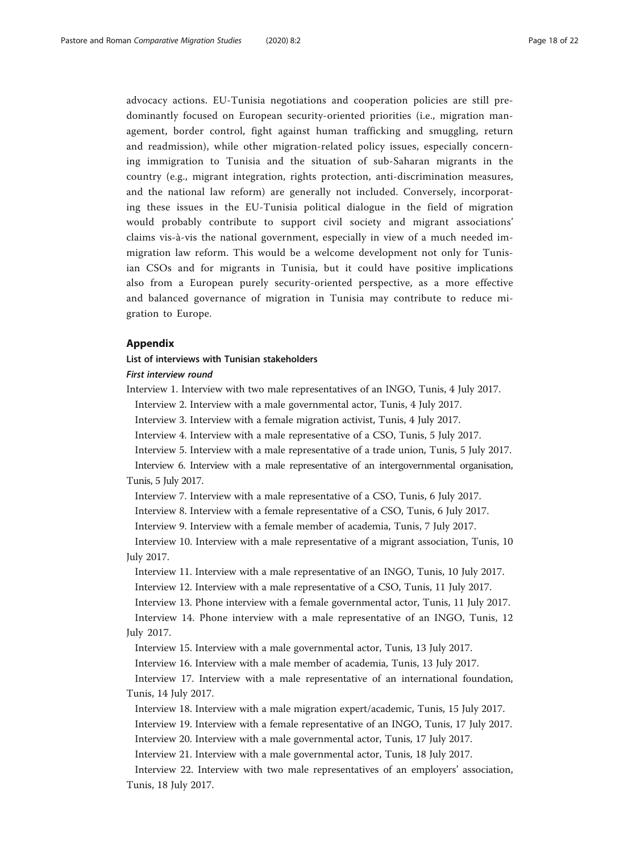<span id="page-17-0"></span>advocacy actions. EU-Tunisia negotiations and cooperation policies are still predominantly focused on European security-oriented priorities (i.e., migration management, border control, fight against human trafficking and smuggling, return and readmission), while other migration-related policy issues, especially concerning immigration to Tunisia and the situation of sub-Saharan migrants in the country (e.g., migrant integration, rights protection, anti-discrimination measures, and the national law reform) are generally not included. Conversely, incorporating these issues in the EU-Tunisia political dialogue in the field of migration would probably contribute to support civil society and migrant associations' claims vis-à-vis the national government, especially in view of a much needed immigration law reform. This would be a welcome development not only for Tunisian CSOs and for migrants in Tunisia, but it could have positive implications also from a European purely security-oriented perspective, as a more effective and balanced governance of migration in Tunisia may contribute to reduce migration to Europe.

### Appendix

#### List of interviews with Tunisian stakeholders

#### First interview round

Interview 1. Interview with two male representatives of an INGO, Tunis, 4 July 2017.

Interview 2. Interview with a male governmental actor, Tunis, 4 July 2017.

Interview 3. Interview with a female migration activist, Tunis, 4 July 2017.

Interview 4. Interview with a male representative of a CSO, Tunis, 5 July 2017.

Interview 5. Interview with a male representative of a trade union, Tunis, 5 July 2017.

Interview 6. Interview with a male representative of an intergovernmental organisation, Tunis, 5 July 2017.

Interview 7. Interview with a male representative of a CSO, Tunis, 6 July 2017.

Interview 8. Interview with a female representative of a CSO, Tunis, 6 July 2017.

Interview 9. Interview with a female member of academia, Tunis, 7 July 2017.

Interview 10. Interview with a male representative of a migrant association, Tunis, 10 July 2017.

Interview 11. Interview with a male representative of an INGO, Tunis, 10 July 2017.

Interview 12. Interview with a male representative of a CSO, Tunis, 11 July 2017.

Interview 13. Phone interview with a female governmental actor, Tunis, 11 July 2017.

Interview 14. Phone interview with a male representative of an INGO, Tunis, 12 July 2017.

Interview 15. Interview with a male governmental actor, Tunis, 13 July 2017.

Interview 16. Interview with a male member of academia, Tunis, 13 July 2017.

Interview 17. Interview with a male representative of an international foundation, Tunis, 14 July 2017.

Interview 18. Interview with a male migration expert/academic, Tunis, 15 July 2017.

Interview 19. Interview with a female representative of an INGO, Tunis, 17 July 2017.

Interview 20. Interview with a male governmental actor, Tunis, 17 July 2017.

Interview 21. Interview with a male governmental actor, Tunis, 18 July 2017.

Interview 22. Interview with two male representatives of an employers' association, Tunis, 18 July 2017.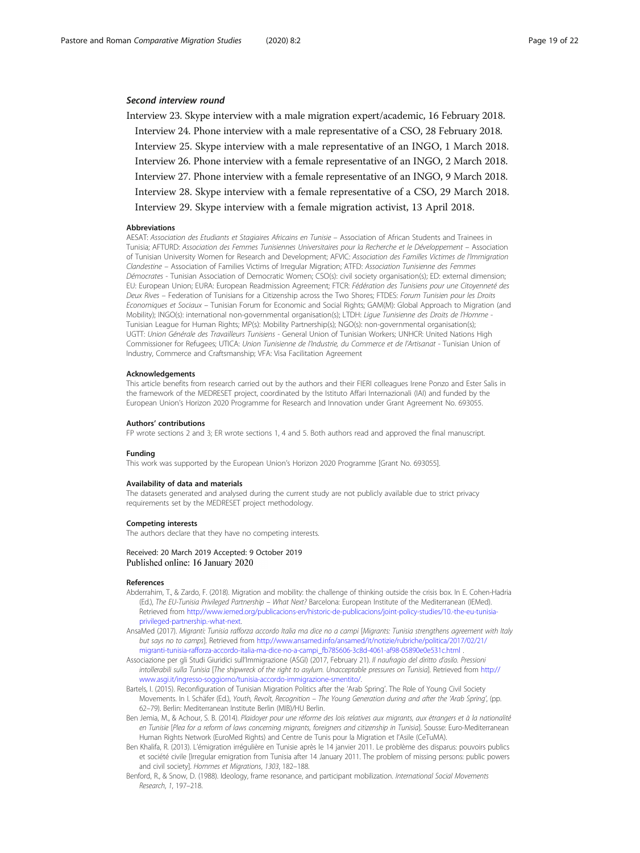#### <span id="page-18-0"></span>Second interview round

Interview 23. Skype interview with a male migration expert/academic, 16 February 2018. Interview 24. Phone interview with a male representative of a CSO, 28 February 2018. Interview 25. Skype interview with a male representative of an INGO, 1 March 2018. Interview 26. Phone interview with a female representative of an INGO, 2 March 2018. Interview 27. Phone interview with a female representative of an INGO, 9 March 2018. Interview 28. Skype interview with a female representative of a CSO, 29 March 2018. Interview 29. Skype interview with a female migration activist, 13 April 2018.

#### Abbreviations

AESAT: Association des Etudiants et Stagiaires Africains en Tunisie – Association of African Students and Trainees in Tunisia; AFTURD: Association des Femmes Tunisiennes Universitaires pour la Recherche et le Développement – Association of Tunisian University Women for Research and Development; AFVIC: Association des Familles Victimes de l'Immigration Clandestine – Association of Families Victims of Irregular Migration; ATFD: Association Tunisienne des Femmes Démocrates - Tunisian Association of Democratic Women; CSO(s): civil society organisation(s); ED: external dimension; EU: European Union; EURA: European Readmission Agreement; FTCR: Fédération des Tunisiens pour une Citoyenneté des Deux Rives – Federation of Tunisians for a Citizenship across the Two Shores; FTDES: Forum Tunisien pour les Droits Economiques et Sociaux – Tunisian Forum for Economic and Social Rights; GAM(M): Global Approach to Migration (and Mobility); INGO(s): international non-governmental organisation(s); LTDH: Ligue Tunisienne des Droits de l'Homme -Tunisian League for Human Rights; MP(s): Mobility Partnership(s); NGO(s): non-governmental organisation(s); UGTT: Union Générale des Travailleurs Tunisiens - General Union of Tunisian Workers; UNHCR: United Nations High Commissioner for Refugees; UTICA: Union Tunisienne de l'Industrie, du Commerce et de l'Artisanat - Tunisian Union of Industry, Commerce and Craftsmanship; VFA: Visa Facilitation Agreement

#### Acknowledgements

This article benefits from research carried out by the authors and their FIERI colleagues Irene Ponzo and Ester Salis in the framework of the MEDRESET project, coordinated by the Istituto Affari Internazionali (IAI) and funded by the European Union's Horizon 2020 Programme for Research and Innovation under Grant Agreement No. 693055.

#### Authors' contributions

FP wrote sections 2 and 3; ER wrote sections 1, 4 and 5. Both authors read and approved the final manuscript.

#### Funding

This work was supported by the European Union's Horizon 2020 Programme [Grant No. 693055].

#### Availability of data and materials

The datasets generated and analysed during the current study are not publicly available due to strict privacy requirements set by the MEDRESET project methodology.

#### Competing interests

The authors declare that they have no competing interests.

#### Received: 20 March 2019 Accepted: 9 October 2019 Published online: 16 January 2020

#### References

- Abderrahim, T., & Zardo, F. (2018). Migration and mobility: the challenge of thinking outside the crisis box. In E. Cohen-Hadria (Ed.), The EU-Tunisia Privileged Partnership – What Next? Barcelona: European Institute of the Mediterranean (IEMed). Retrieved from [http://www.iemed.org/publicacions-en/historic-de-publicacions/joint-policy-studies/10.-the-eu-tunisia](http://www.iemed.org/publicacions-en/historic-de-publicacions/joint-policy-studies/10.-the-eu-tunisia-privileged-partnership.-what-next)[privileged-partnership.-what-next](http://www.iemed.org/publicacions-en/historic-de-publicacions/joint-policy-studies/10.-the-eu-tunisia-privileged-partnership.-what-next).
- AnsaMed (2017). Migranti: Tunisia rafforza accordo Italia ma dice no a campi [Migrants: Tunisia strengthens agreement with Italy but says no to camps]. Retrieved from [http://www.ansamed.info/ansamed/it/notizie/rubriche/politica/2017/02/21/](http://www.ansamed.info/ansamed/it/notizie/rubriche/politica/2017/02/21/migranti-tunisia-rafforza-accordo-italia-ma-dice-no-a-campi_fb785606-3c8d-4061-af98-05890e0e531c.html) [migranti-tunisia-rafforza-accordo-italia-ma-dice-no-a-campi\\_fb785606-3c8d-4061-af98-05890e0e531c.html](http://www.ansamed.info/ansamed/it/notizie/rubriche/politica/2017/02/21/migranti-tunisia-rafforza-accordo-italia-ma-dice-no-a-campi_fb785606-3c8d-4061-af98-05890e0e531c.html) .
- Associazione per gli Studi Giuridici sull'Immigrazione (ASGI) (2017, February 21). Il naufragio del diritto d'asilo. Pressioni intollerabili sulla Tunisia [The shipwreck of the right to asylum. Unacceptable pressures on Tunisia]. Retrieved from [http://](http://www.asgi.it/ingresso-soggiorno/tunisia-accordo-immigrazione-smentito/) [www.asgi.it/ingresso-soggiorno/tunisia-accordo-immigrazione-smentito/.](http://www.asgi.it/ingresso-soggiorno/tunisia-accordo-immigrazione-smentito/)
- Bartels, I. (2015). Reconfiguration of Tunisian Migration Politics after the 'Arab Spring'. The Role of Young Civil Society Movements. In I. Schäfer (Ed.), Youth, Revolt, Recognition – The Young Generation during and after the 'Arab Spring', (pp. 62–79). Berlin: Mediterranean Institute Berlin (MIB)/HU Berlin.
- Ben Jemia, M., & Achour, S. B. (2014). Plaidoyer pour une réforme des lois relatives aux migrants, aux étrangers et à la nationalité en Tunisie [Plea for a reform of laws concerning migrants, foreigners and citizenship in Tunisia]. Sousse: Euro-Mediterranean Human Rights Network (EuroMed Rights) and Centre de Tunis pour la Migration et l'Asile (CeTuMA).
- Ben Khalifa, R. (2013). L'émigration irrégulière en Tunisie après le 14 janvier 2011. Le problème des disparus: pouvoirs publics et société civile [Irregular emigration from Tunisia after 14 January 2011. The problem of missing persons: public powers and civil society]. Hommes et Migrations, 1303, 182–188.
- Benford, R., & Snow, D. (1988). Ideology, frame resonance, and participant mobilization. International Social Movements Research, 1, 197–218.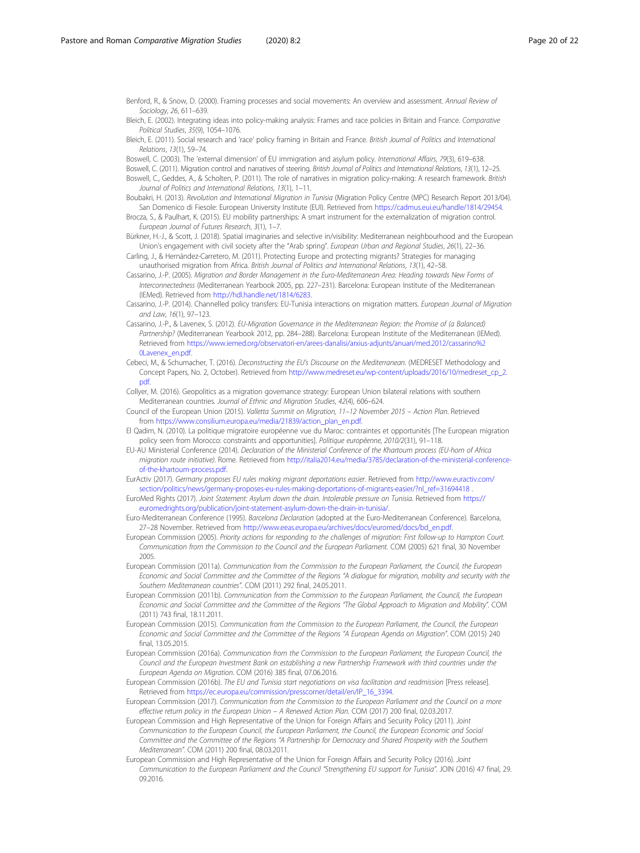<span id="page-19-0"></span>Benford, R., & Snow, D. (2000). Framing processes and social movements: An overview and assessment. Annual Review of Sociology, 26, 611–639.

- Bleich, E. (2002). Integrating ideas into policy-making analysis: Frames and race policies in Britain and France. Comparative Political Studies, 35(9), 1054–1076.
- Bleich, E. (2011). Social research and 'race' policy framing in Britain and France. British Journal of Politics and International Relations, 13(1), 59–74.
- Boswell, C. (2003). The 'external dimension' of EU immigration and asylum policy. International Affairs, 79(3), 619–638.
- Boswell, C. (2011). Migration control and narratives of steering. British Journal of Politics and International Relations, 13(1), 12–25. Boswell, C., Geddes, A., & Scholten, P. (2011). The role of narratives in migration policy-making: A research framework. British
- Journal of Politics and International Relations, 13(1), 1–11.
- Boubakri, H. (2013). Revolution and International Migration in Tunisia (Migration Policy Centre (MPC) Research Report 2013/04). San Domenico di Fiesole: European University Institute (EUI). Retrieved from <https://cadmus.eui.eu/handle/1814/29454>.
- Brocza, S., & Paulhart, K. (2015). EU mobility partnerships: A smart instrument for the externalization of migration control. European Journal of Futures Research, 3(1), 1–7.
- Bürkner, H.-J., & Scott, J. (2018). Spatial imaginaries and selective in/visibility: Mediterranean neighbourhood and the European Union's engagement with civil society after the "Arab spring". European Urban and Regional Studies, 26(1), 22–36.
- Carling, J., & Hernández-Carretero, M. (2011). Protecting Europe and protecting migrants? Strategies for managing unauthorised migration from Africa. British Journal of Politics and International Relations, 13(1), 42-58.
- Cassarino, J.-P. (2005). Migration and Border Management in the Euro-Mediterranean Area: Heading towards New Forms of Interconnectedness (Mediterranean Yearbook 2005, pp. 227–231). Barcelona: European Institute of the Mediterranean (IEMed). Retrieved from <http://hdl.handle.net/1814/6283>.
- Cassarino, J.-P. (2014). Channelled policy transfers: EU-Tunisia interactions on migration matters. European Journal of Migration and Law, 16(1), 97–123.
- Cassarino, J.-P., & Lavenex, S. (2012). EU-Migration Governance in the Mediterranean Region: the Promise of (a Balanced) Partnership? (Mediterranean Yearbook 2012, pp. 284–288). Barcelona: European Institute of the Mediterranean (IEMed). Retrieved from [https://www.iemed.org/observatori-en/arees-danalisi/arxius-adjunts/anuari/med.2012/cassarino%2](https://www.iemed.org/observatori-en/arees-danalisi/arxius-adjunts/anuari/med.2012/cassarino%20Lavenex_en.pdf) [0Lavenex\\_en.pdf.](https://www.iemed.org/observatori-en/arees-danalisi/arxius-adjunts/anuari/med.2012/cassarino%20Lavenex_en.pdf)
- Cebeci, M., & Schumacher, T. (2016). Deconstructing the EU's Discourse on the Mediterranean. (MEDRESET Methodology and Concept Papers, No. 2, October). Retrieved from [http://www.medreset.eu/wp-content/uploads/2016/10/medreset\\_cp\\_2.](http://www.medreset.eu/wp-content/uploads/2016/10/medreset_cp_2.pdf) [pdf](http://www.medreset.eu/wp-content/uploads/2016/10/medreset_cp_2.pdf).
- Collyer, M. (2016). Geopolitics as a migration governance strategy: European Union bilateral relations with southern Mediterranean countries. Journal of Ethnic and Migration Studies, 42(4), 606–624.
- Council of the European Union (2015). Valletta Summit on Migration, 11–12 November 2015 Action Plan. Retrieved from [https://www.consilium.europa.eu/media/21839/action\\_plan\\_en.pdf](https://www.consilium.europa.eu/media/21839/action_plan_en.pdf).
- El Qadim, N. (2010). La politique migratoire européenne vue du Maroc: contraintes et opportunités [The European migration policy seen from Morocco: constraints and opportunities]. Politique européenne, 2010/2(31), 91–118.
- EU-AU Ministerial Conference (2014). Declaration of the Ministerial Conference of the Khartoum process (EU-horn of Africa migration route initiative). Rome. Retrieved from [http://italia2014.eu/media/3785/declaration-of-the-ministerial-conference](http://italia2014.eu/media/3785/declaration-of-the-ministerial-conference-of-the-khartoum-process.pdf)[of-the-khartoum-process.pdf.](http://italia2014.eu/media/3785/declaration-of-the-ministerial-conference-of-the-khartoum-process.pdf)

EurActiv (2017). Germany proposes EU rules making migrant deportations easier. Retrieved from [http://www.euractiv.com/](http://www.euractiv.com/section/politics/news/germany-proposes-eu-rules-making-deportations-of-migrants-easier/?nl_ref=31694418) [section/politics/news/germany-proposes-eu-rules-making-deportations-of-migrants-easier/?nl\\_ref=31694418](http://www.euractiv.com/section/politics/news/germany-proposes-eu-rules-making-deportations-of-migrants-easier/?nl_ref=31694418)

- EuroMed Rights (2017). Joint Statement: Asylum down the drain. Intolerable pressure on Tunisia. Retrieved from [https://](https://euromedrights.org/publication/joint-statement-asylum-down-the-drain-in-tunisia/) [euromedrights.org/publication/joint-statement-asylum-down-the-drain-in-tunisia/](https://euromedrights.org/publication/joint-statement-asylum-down-the-drain-in-tunisia/).
- Euro-Mediterranean Conference (1995). Barcelona Declaration (adopted at the Euro-Mediterranean Conference). Barcelona, 27–28 November. Retrieved from [http://www.eeas.europa.eu/archives/docs/euromed/docs/bd\\_en.pdf](http://www.eeas.europa.eu/archives/docs/euromed/docs/bd_en.pdf).
- European Commission (2005). Priority actions for responding to the challenges of migration: First follow-up to Hampton Court. Communication from the Commission to the Council and the European Parliament. COM (2005) 621 final, 30 November 2005.
- European Commission (2011a). Communication from the Commission to the European Parliament, the Council, the European Economic and Social Committee and the Committee of the Regions "A dialogue for migration, mobility and security with the Southern Mediterranean countries". COM (2011) 292 final, 24.05.2011.
- European Commission (2011b). Communication from the Commission to the European Parliament, the Council, the European Economic and Social Committee and the Committee of the Regions "The Global Approach to Migration and Mobility". COM (2011) 743 final, 18.11.2011.
- European Commission (2015). Communication from the Commission to the European Parliament, the Council, the European Economic and Social Committee and the Committee of the Regions "A European Agenda on Migration". COM (2015) 240 final, 13.05.2015.
- European Commission (2016a). Communication from the Commission to the European Parliament, the European Council, the Council and the European Investment Bank on establishing a new Partnership Framework with third countries under the European Agenda on Migration. COM (2016) 385 final, 07.06.2016.
- European Commission (2016b). The EU and Tunisia start negotiations on visa facilitation and readmission [Press release]. Retrieved from [https://ec.europa.eu/commission/presscorner/detail/en/IP\\_16\\_3394](https://ec.europa.eu/commission/presscorner/detail/en/IP_16_3394).
- European Commission (2017). Communication from the Commission to the European Parliament and the Council on a more effective return policy in the European Union – A Renewed Action Plan. COM (2017) 200 final, 02.03.2017.
- European Commission and High Representative of the Union for Foreign Affairs and Security Policy (2011). Joint Communication to the European Council, the European Parliament, the Council, the European Economic and Social Committee and the Committee of the Regions "A Partnership for Democracy and Shared Prosperity with the Southern Mediterranean". COM (2011) 200 final, 08.03.2011.
- European Commission and High Representative of the Union for Foreign Affairs and Security Policy (2016). Joint Communication to the European Parliament and the Council "Strengthening EU support for Tunisia". JOIN (2016) 47 final, 29. 09.2016.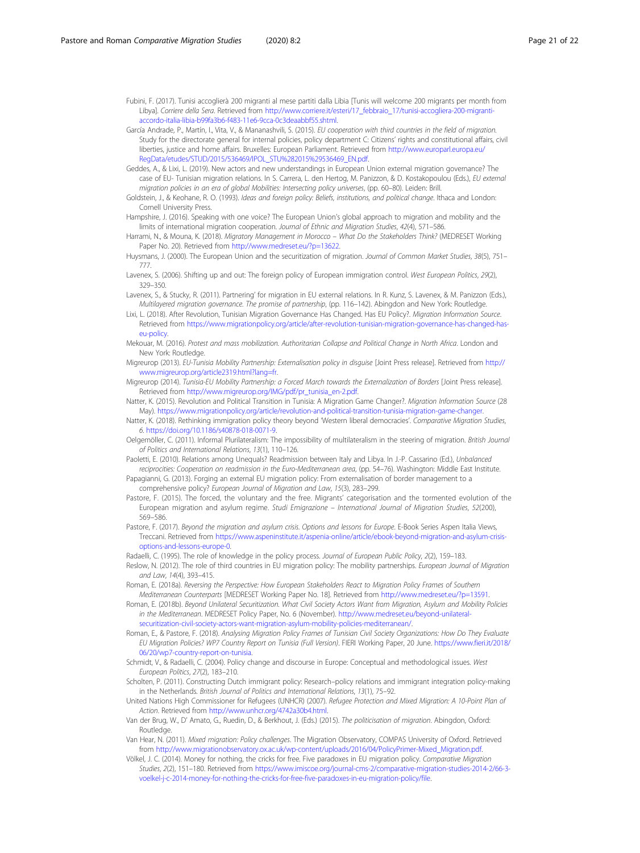<span id="page-20-0"></span>Fubini, F. (2017). Tunisi accoglierà 200 migranti al mese partiti dalla Libia [Tunis will welcome 200 migrants per month from Libya]. Corriere della Sera. Retrieved from [http://www.corriere.it/esteri/17\\_febbraio\\_17/tunisi-accogliera-200-migranti](http://www.corriere.it/esteri/17_febbraio_17/tunisi-accogliera-200-migranti-accordo-italia-libia-b99fa3b6-f483-11e6-9cca-0c3deaabbf55.shtml)[accordo-italia-libia-b99fa3b6-f483-11e6-9cca-0c3deaabbf55.shtml.](http://www.corriere.it/esteri/17_febbraio_17/tunisi-accogliera-200-migranti-accordo-italia-libia-b99fa3b6-f483-11e6-9cca-0c3deaabbf55.shtml)

- García Andrade, P., Martín, I., Vita, V., & Mananashvili, S. (2015). EU cooperation with third countries in the field of migration. Study for the directorate general for internal policies, policy department C: Citizens' rights and constitutional affairs, civil liberties, justice and home affairs. Bruxelles: European Parliament. Retrieved from [http://www.europarl.europa.eu/](http://www.europarl.europa.eu/RegData/etudes/STUD/2015/536469/IPOL_STU%282015%29536469_EN.pdf) [RegData/etudes/STUD/2015/536469/IPOL\\_STU%282015%29536469\\_EN.pdf](http://www.europarl.europa.eu/RegData/etudes/STUD/2015/536469/IPOL_STU%282015%29536469_EN.pdf).
- Geddes, A., & Lixi, L. (2019). New actors and new understandings in European Union external migration governance? The case of EU- Tunisian migration relations. In S. Carrera, L. den Hertog, M. Panizzon, & D. Kostakopoulou (Eds.), EU external migration policies in an era of global Mobilities: Intersecting policy universes, (pp. 60–80). Leiden: Brill.
- Goldstein, J., & Keohane, R. O. (1993). Ideas and foreign policy: Beliefs, institutions, and political change. Ithaca and London: Cornell University Press.
- Hampshire, J. (2016). Speaking with one voice? The European Union's global approach to migration and mobility and the limits of international migration cooperation. Journal of Ethnic and Migration Studies, 42(4), 571–586.
- Harrami, N., & Mouna, K. (2018). Migratory Management in Morocco What Do the Stakeholders Think? (MEDRESET Working Paper No. 20). Retrieved from [http://www.medreset.eu/?p=13622.](http://www.medreset.eu/?p=13622)
- Huysmans, J. (2000). The European Union and the securitization of migration. Journal of Common Market Studies, 38(5), 751– 777.
- Lavenex, S. (2006). Shifting up and out: The foreign policy of European immigration control. West European Politics, 29(2), 329–350.
- Lavenex, S., & Stucky, R. (2011). Partnering' for migration in EU external relations. In R. Kunz, S. Lavenex, & M. Panizzon (Eds.), Multilayered migration governance. The promise of partnership, (pp. 116–142). Abingdon and New York: Routledge.
- Lixi, L. (2018). After Revolution, Tunisian Migration Governance Has Changed. Has EU Policy?. Migration Information Source. Retrieved from [https://www.migrationpolicy.org/article/after-revolution-tunisian-migration-governance-has-changed-has](https://www.migrationpolicy.org/article/after-revolution-tunisian-migration-governance-has-changed-has-eu-policy)[eu-policy.](https://www.migrationpolicy.org/article/after-revolution-tunisian-migration-governance-has-changed-has-eu-policy)
- Mekouar, M. (2016). Protest and mass mobilization. Authoritarian Collapse and Political Change in North Africa. London and New York: Routledge.
- Migreurop (2013). EU-Tunisia Mobility Partnership: Externalisation policy in disguise [Joint Press release]. Retrieved from [http://](http://www.migreurop.org/article2319.html?lang=fr) [www.migreurop.org/article2319.html?lang=fr.](http://www.migreurop.org/article2319.html?lang=fr)
- Migreurop (2014). Tunisia-EU Mobility Partnership: a Forced March towards the Externalization of Borders [Joint Press release]. Retrieved from [http://www.migreurop.org/IMG/pdf/pr\\_tunisia\\_en-2.pdf.](http://www.migreurop.org/IMG/pdf/pr_tunisia_en-2.pdf)
- Natter, K. (2015). Revolution and Political Transition in Tunisia: A Migration Game Changer?. Migration Information Source (28 May). <https://www.migrationpolicy.org/article/revolution-and-political-transition-tunisia-migration-game-changer>.
- Natter, K. (2018). Rethinking immigration policy theory beyond 'Western liberal democracies'. Comparative Migration Studies, 6. [https://doi.org/10.1186/s40878-018-0071-9.](https://doi.org/10.1186/s40878-018-0071-9)
- Oelgemöller, C. (2011). Informal Plurilateralism: The impossibility of multilateralism in the steering of migration. British Journal of Politics and International Relations, 13(1), 110–126.
- Paoletti, E. (2010). Relations among Unequals? Readmission between Italy and Libya. In J.-P. Cassarino (Ed.), Unbalanced reciprocities: Cooperation on readmission in the Euro-Mediterranean area, (pp. 54–76). Washington: Middle East Institute.
- Papagianni, G. (2013). Forging an external EU migration policy: From externalisation of border management to a comprehensive policy? European Journal of Migration and Law, 15(3), 283–299.
- Pastore, F. (2015). The forced, the voluntary and the free. Migrants' categorisation and the tormented evolution of the European migration and asylum regime. Studi Emigrazione – International Journal of Migration Studies, 52(200), 569–586.
- Pastore, F. (2017). Beyond the migration and asylum crisis. Options and lessons for Europe. E-Book Series Aspen Italia Views, Treccani. Retrieved from [https://www.aspeninstitute.it/aspenia-online/article/ebook-beyond-migration-and-asylum-crisis](https://www.aspeninstitute.it/aspenia-online/article/ebook-beyond-migration-and-asylum-crisis-options-and-lessons-europe-0)[options-and-lessons-europe-0](https://www.aspeninstitute.it/aspenia-online/article/ebook-beyond-migration-and-asylum-crisis-options-and-lessons-europe-0).
- Radaelli, C. (1995). The role of knowledge in the policy process. Journal of European Public Policy, 2(2), 159-183.
- Reslow, N. (2012). The role of third countries in EU migration policy: The mobility partnerships. European Journal of Migration and Law, 14(4), 393–415.
- Roman, E. (2018a). Reversing the Perspective: How European Stakeholders React to Migration Policy Frames of Southern Mediterranean Counterparts [MEDRESET Working Paper No. 18]. Retrieved from [http://www.medreset.eu/?p=13591.](http://www.medreset.eu/?p=13591)
- Roman, E. (2018b). Beyond Unilateral Securitization. What Civil Society Actors Want from Migration, Asylum and Mobility Policies in the Mediterranean. MEDRESET Policy Paper, No. 6 (November). [http://www.medreset.eu/beyond-unilateral](http://www.medreset.eu/beyond-unilateral-securitization-civil-society-actors-want-migration-asylum-mobility-policies-mediterranean/)[securitization-civil-society-actors-want-migration-asylum-mobility-policies-mediterranean/](http://www.medreset.eu/beyond-unilateral-securitization-civil-society-actors-want-migration-asylum-mobility-policies-mediterranean/).
- Roman, E., & Pastore, F. (2018). Analysing Migration Policy Frames of Tunisian Civil Society Organizations: How Do They Evaluate EU Migration Policies? WP7 Country Report on Tunisia (Full Version). FIERI Working Paper, 20 June. [https://www.fieri.it/2018/](https://www.fieri.it/2018/06/20/wp7-country-report-on-tunisia) [06/20/wp7-country-report-on-tunisia.](https://www.fieri.it/2018/06/20/wp7-country-report-on-tunisia)
- Schmidt, V., & Radaelli, C. (2004). Policy change and discourse in Europe: Conceptual and methodological issues. West European Politics, 27(2), 183–210.
- Scholten, P. (2011). Constructing Dutch immigrant policy: Research–policy relations and immigrant integration policy-making in the Netherlands. British Journal of Politics and International Relations, 13(1), 75–92.
- United Nations High Commissioner for Refugees (UNHCR) (2007). Refugee Protection and Mixed Migration: A 10-Point Plan of Action. Retrieved from <http://www.unhcr.org/4742a30b4.html>.
- Van der Brug, W., D' Amato, G., Ruedin, D., & Berkhout, J. (Eds.) (2015). The politicisation of migration. Abingdon, Oxford: Routledge.
- Van Hear, N. (2011). Mixed migration: Policy challenges. The Migration Observatory, COMPAS University of Oxford. Retrieved from [http://www.migrationobservatory.ox.ac.uk/wp-content/uploads/2016/04/PolicyPrimer-Mixed\\_Migration.pdf](http://www.migrationobservatory.ox.ac.uk/wp-content/uploads/2016/04/PolicyPrimer-Mixed_Migration.pdf).
- Völkel, J. C. (2014). Money for nothing, the cricks for free. Five paradoxes in EU migration policy. Comparative Migration Studies, 2(2), 151–180. Retrieved from [https://www.imiscoe.org/journal-cms-2/comparative-migration-studies-2014-2/66-3](https://www.imiscoe.org/journal-cms-2/comparative-migration-studies-2014-2/66-3-voelkel-j-c-2014-money-for-nothing-the-cricks-for-free-five-paradoxes-in-eu-migration-policy/file) [voelkel-j-c-2014-money-for-nothing-the-cricks-for-free-five-paradoxes-in-eu-migration-policy/file.](https://www.imiscoe.org/journal-cms-2/comparative-migration-studies-2014-2/66-3-voelkel-j-c-2014-money-for-nothing-the-cricks-for-free-five-paradoxes-in-eu-migration-policy/file)